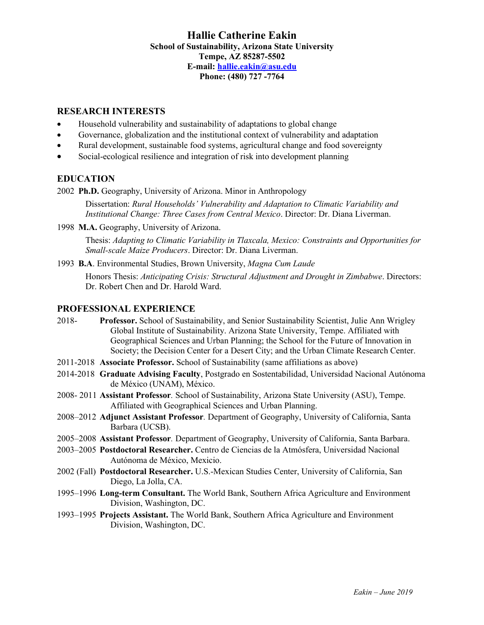# **Hallie Catherine Eakin School of Sustainability, Arizona State University Tempe, AZ 85287-5502 E-mail: hallie.eakin@asu.edu Phone: (480) 727 -7764**

# **RESEARCH INTERESTS**

- Household vulnerability and sustainability of adaptations to global change
- Governance, globalization and the institutional context of vulnerability and adaptation
- Rural development, sustainable food systems, agricultural change and food sovereignty
- Social-ecological resilience and integration of risk into development planning

# **EDUCATION**

2002 **Ph.D.** Geography, University of Arizona. Minor in Anthropology

Dissertation: *Rural Households' Vulnerability and Adaptation to Climatic Variability and Institutional Change: Three Cases from Central Mexico*. Director: Dr. Diana Liverman.

1998 **M.A.** Geography, University of Arizona.

Thesis: *Adapting to Climatic Variability in Tlaxcala, Mexico: Constraints and Opportunities for Small-scale Maize Producers*. Director: Dr. Diana Liverman.

1993 **B.A**. Environmental Studies, Brown University, *Magna Cum Laude*

Honors Thesis: *Anticipating Crisis: Structural Adjustment and Drought in Zimbabwe*. Directors: Dr. Robert Chen and Dr. Harold Ward.

# **PROFESSIONAL EXPERIENCE**

- 2018- **Professor.** School of Sustainability, and Senior Sustainability Scientist, Julie Ann Wrigley Global Institute of Sustainability. Arizona State University, Tempe. Affiliated with Geographical Sciences and Urban Planning; the School for the Future of Innovation in Society; the Decision Center for a Desert City; and the Urban Climate Research Center.
- 2011-2018 **Associate Professor.** School of Sustainability (same affiliations as above)
- 2014-2018 **Graduate Advising Faculty**, Postgrado en Sostentabilidad, Universidad Nacional Autónoma de México (UNAM), México.
- 2008- 2011 **Assistant Professor***.* School of Sustainability, Arizona State University (ASU), Tempe. Affiliated with Geographical Sciences and Urban Planning.
- 2008–2012 **Adjunct Assistant Professor***.* Department of Geography, University of California, Santa Barbara (UCSB).
- 2005–2008 **Assistant Professor***.* Department of Geography, University of California, Santa Barbara.
- 2003–2005 **Postdoctoral Researcher.** Centro de Ciencias de la Atmósfera, Universidad Nacional Autónoma de México, Mexicio.
- 2002 (Fall) **Postdoctoral Researcher.** U.S.-Mexican Studies Center, University of California, San Diego, La Jolla, CA.
- 1995–1996 **Long-term Consultant.** The World Bank, Southern Africa Agriculture and Environment Division, Washington, DC.
- 1993–1995 **Projects Assistant.** The World Bank, Southern Africa Agriculture and Environment Division, Washington, DC.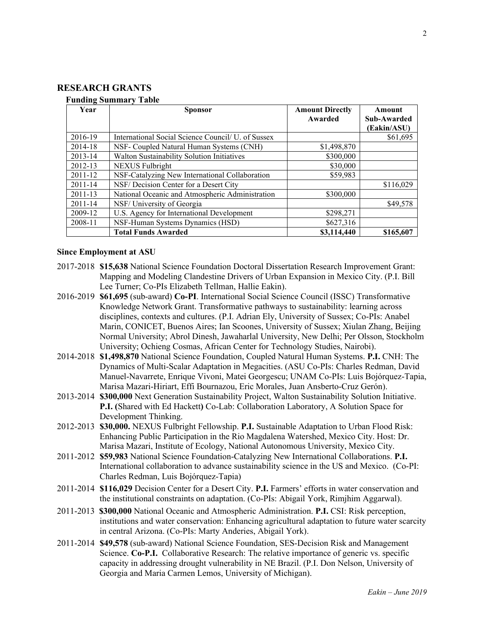# **RESEARCH GRANTS**

#### **Funding Summary Table**

| $\sim$ where $\sim$ $\sim$ where $\sim$ $\sim$<br>Year | <b>Sponsor</b>                                           | <b>Amount Directly</b> | Amount      |
|--------------------------------------------------------|----------------------------------------------------------|------------------------|-------------|
|                                                        |                                                          | Awarded                | Sub-Awarded |
|                                                        |                                                          |                        | (Eakin/ASU) |
| 2016-19                                                | International Social Science Council <i>U.</i> of Sussex |                        | \$61,695    |
| 2014-18                                                | NSF- Coupled Natural Human Systems (CNH)                 | \$1,498,870            |             |
| 2013-14                                                | Walton Sustainability Solution Initiatives               | \$300,000              |             |
| 2012-13                                                | <b>NEXUS</b> Fulbright                                   | \$30,000               |             |
| $2011 - 12$                                            | NSF-Catalyzing New International Collaboration           | \$59,983               |             |
| $2011 - 14$                                            | NSF/ Decision Center for a Desert City                   |                        | \$116,029   |
| $2011 - 13$                                            | National Oceanic and Atmospheric Administration          | \$300,000              |             |
| $2011 - 14$                                            | NSF/University of Georgia                                |                        | \$49,578    |
| 2009-12                                                | U.S. Agency for International Development                | \$298,271              |             |
| 2008-11                                                | NSF-Human Systems Dynamics (HSD)                         | \$627,316              |             |
|                                                        | <b>Total Funds Awarded</b>                               | \$3,114,440            | \$165,607   |

#### **Since Employment at ASU**

- 2017-2018 **\$15,638** National Science Foundation Doctoral Dissertation Research Improvement Grant: Mapping and Modeling Clandestine Drivers of Urban Expansion in Mexico City. (P.I. Bill Lee Turner; Co-PIs Elizabeth Tellman, Hallie Eakin).
- 2016-2019 **\$61,695** (sub-award) **Co-PI**. International Social Science Council (ISSC) Transformative Knowledge Network Grant. Transformative pathways to sustainability: learning across disciplines, contexts and cultures. (P.I. Adrian Ely, University of Sussex; Co-PIs: Anabel Marin, CONICET, Buenos Aires; Ian Scoones, University of Sussex; Xiulan Zhang, Beijing Normal University; Abrol Dinesh, Jawaharlal University, New Delhi; Per Olsson, Stockholm University; Ochieng Cosmas, African Center for Technology Studies, Nairobi).
- 2014-2018 **\$1,498,870** National Science Foundation, Coupled Natural Human Systems. **P.I.** CNH: The Dynamics of Multi-Scalar Adaptation in Megacities. (ASU Co-PIs: Charles Redman, David Manuel-Navarrete, Enrique Vivoni, Matei Georgescu; UNAM Co-PIs: Luis Bojórquez-Tapia, Marisa Mazari-Hiriart, Effi Bournazou, Eric Morales, Juan Ansberto-Cruz Gerón).
- 2013-2014 **\$300,000** Next Generation Sustainability Project, Walton Sustainability Solution Initiative. **P.I. (**Shared with Ed Hackett**)** Co-Lab: Collaboration Laboratory, A Solution Space for Development Thinking.
- 2012-2013 **\$30,000.** NEXUS Fulbright Fellowship. **P.I.** Sustainable Adaptation to Urban Flood Risk: Enhancing Public Participation in the Rio Magdalena Watershed, Mexico City. Host: Dr. Marisa Mazari, Institute of Ecology, National Autonomous University, Mexico City.
- 2011-2012 **\$59,983** National Science Foundation-Catalyzing New International Collaborations. **P.I.**  International collaboration to advance sustainability science in the US and Mexico. (Co-PI: Charles Redman, Luis Bojórquez-Tapia)
- 2011-2014 **\$116,029** Decision Center for a Desert City. **P.I.** Farmers' efforts in water conservation and the institutional constraints on adaptation. (Co-PIs: Abigail York, Rimjhim Aggarwal).
- 2011-2013 **\$300,000** National Oceanic and Atmospheric Administration. **P.I.** CSI: Risk perception, institutions and water conservation: Enhancing agricultural adaptation to future water scarcity in central Arizona. (Co-PIs: Marty Anderies, Abigail York).
- 2011-2014 **\$49,578** (sub-award) National Science Foundation, SES-Decision Risk and Management Science. **Co-P.I.** Collaborative Research: The relative importance of generic vs. specific capacity in addressing drought vulnerability in NE Brazil. (P.I. Don Nelson, University of Georgia and Maria Carmen Lemos, University of Michigan).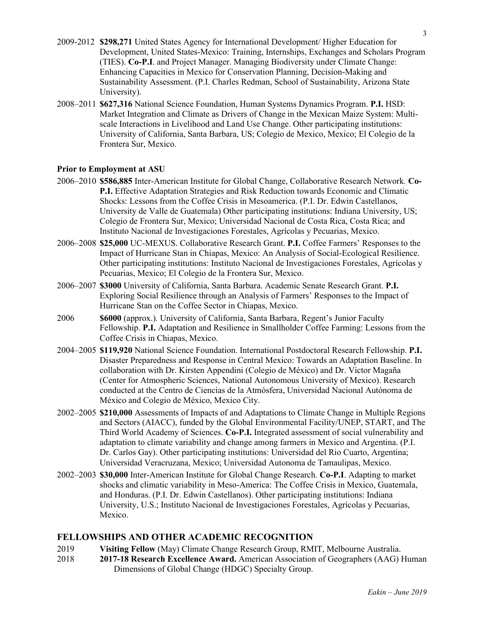- 2009-2012 **\$298,271** United States Agency for International Development/ Higher Education for Development, United States-Mexico: Training, Internships, Exchanges and Scholars Program (TIES). **Co-P.I**. and Project Manager. Managing Biodiversity under Climate Change: Enhancing Capacities in Mexico for Conservation Planning, Decision-Making and Sustainability Assessment. (P.I. Charles Redman, School of Sustainability, Arizona State University).
- 2008–2011 **\$627,316** National Science Foundation, Human Systems Dynamics Program. **P.I.** HSD: Market Integration and Climate as Drivers of Change in the Mexican Maize System: Multiscale Interactions in Livelihood and Land Use Change. Other participating institutions: University of California, Santa Barbara, US; Colegio de Mexico, Mexico; El Colegio de la Frontera Sur, Mexico.

### **Prior to Employment at ASU**

- 2006–2010 **\$586,885** Inter-American Institute for Global Change, Collaborative Research Network*.* **Co-P.I.** Effective Adaptation Strategies and Risk Reduction towards Economic and Climatic Shocks: Lessons from the Coffee Crisis in Mesoamerica. (P.I. Dr. Edwin Castellanos, University de Valle de Guatemala) Other participating institutions: Indiana University, US; Colegio de Frontera Sur, Mexico; Universidad Nacional de Costa Rica, Costa Rica; and Instituto Nacional de Investigaciones Forestales, Agrícolas y Pecuarias, Mexico.
- 2006–2008 **\$25,000** UC-MEXUS. Collaborative Research Grant. **P.I.** Coffee Farmers' Responses to the Impact of Hurricane Stan in Chiapas, Mexico: An Analysis of Social-Ecological Resilience. Other participating institutions: Instituto Nacional de Investigaciones Forestales, Agrícolas y Pecuarias, Mexico; El Colegio de la Frontera Sur, Mexico.
- 2006–2007 **\$3000** University of California, Santa Barbara. Academic Senate Research Grant. **P.I.** Exploring Social Resilience through an Analysis of Farmers' Responses to the Impact of Hurricane Stan on the Coffee Sector in Chiapas, Mexico.
- 2006 **\$6000** (approx.)*.* University of California, Santa Barbara, Regent's Junior Faculty Fellowship. **P.I.** Adaptation and Resilience in Smallholder Coffee Farming: Lessons from the Coffee Crisis in Chiapas, Mexico.
- 2004–2005 **\$119,920** National Science Foundation. International Postdoctoral Research Fellowship. **P.I.** Disaster Preparedness and Response in Central Mexico: Towards an Adaptation Baseline. In collaboration with Dr. Kirsten Appendini (Colegio de México) and Dr. Victor Magaña (Center for Atmospheric Sciences, National Autonomous University of Mexico). Research conducted at the Centro de Ciencias de la Atmósfera, Universidad Nacional Autónoma de México and Colegio de México, Mexico City.
- 2002–2005 **\$210,000** Assessments of Impacts of and Adaptations to Climate Change in Multiple Regions and Sectors (AIACC), funded by the Global Environmental Facility/UNEP, START, and The Third World Academy of Sciences. **Co-P.I.** Integrated assessment of social vulnerability and adaptation to climate variability and change among farmers in Mexico and Argentina. (P.I. Dr. Carlos Gay). Other participating institutions: Universidad del Rio Cuarto, Argentina; Universidad Veracruzana, Mexico; Universidad Autonoma de Tamaulipas, Mexico.
- 2002–2003 **\$30,000** Inter-American Institute for Global Change Research. **Co-P.I**. Adapting to market shocks and climatic variability in Meso-America: The Coffee Crisis in Mexico, Guatemala, and Honduras. (P.I. Dr. Edwin Castellanos). Other participating institutions: Indiana University, U.S.; Instituto Nacional de Investigaciones Forestales, Agrícolas y Pecuarias, Mexico.

#### **FELLOWSHIPS AND OTHER ACADEMIC RECOGNITION**

- 2019 **Visiting Fellow** (May) Climate Change Research Group, RMIT, Melbourne Australia.
- 2018 **2017-18 Research Excellence Award.** American Association of Geographers (AAG) Human Dimensions of Global Change (HDGC) Specialty Group.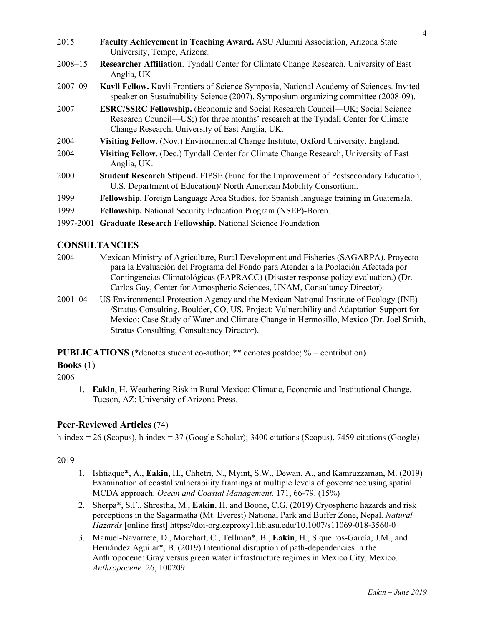| 2015        | Faculty Achievement in Teaching Award. ASU Alumni Association, Arizona State<br>University, Tempe, Arizona.                                                                                                                                                                                                                                                            |
|-------------|------------------------------------------------------------------------------------------------------------------------------------------------------------------------------------------------------------------------------------------------------------------------------------------------------------------------------------------------------------------------|
| $2008 - 15$ | Researcher Affiliation. Tyndall Center for Climate Change Research. University of East<br>Anglia, UK                                                                                                                                                                                                                                                                   |
| $2007 - 09$ | Kavli Fellow. Kavli Frontiers of Science Symposia, National Academy of Sciences. Invited<br>speaker on Sustainability Science (2007), Symposium organizing committee (2008-09).                                                                                                                                                                                        |
| 2007        | <b>ESRC/SSRC Fellowship.</b> (Economic and Social Research Council—UK; Social Science<br>Research Council—US;) for three months' research at the Tyndall Center for Climate<br>Change Research. University of East Anglia, UK.                                                                                                                                         |
| 2004        | Visiting Fellow. (Nov.) Environmental Change Institute, Oxford University, England.                                                                                                                                                                                                                                                                                    |
| 2004        | Visiting Fellow. (Dec.) Tyndall Center for Climate Change Research, University of East<br>Anglia, UK.                                                                                                                                                                                                                                                                  |
| 2000        | <b>Student Research Stipend.</b> FIPSE (Fund for the Improvement of Postsecondary Education,<br>U.S. Department of Education)/ North American Mobility Consortium.                                                                                                                                                                                                     |
| 1999        | Fellowship. Foreign Language Area Studies, for Spanish language training in Guatemala.                                                                                                                                                                                                                                                                                 |
| 1999        | <b>Fellowship.</b> National Security Education Program (NSEP)-Boren.                                                                                                                                                                                                                                                                                                   |
|             | $\mathbf{100} = \mathbf{000}$ $\mathbf{0} = \mathbf{0}$ $\mathbf{0} = \mathbf{0}$ $\mathbf{0} = \mathbf{0}$ $\mathbf{0} = \mathbf{0}$ $\mathbf{0} = \mathbf{0}$ $\mathbf{0} = \mathbf{0}$ $\mathbf{0} = \mathbf{0}$ $\mathbf{0} = \mathbf{0}$ $\mathbf{0} = \mathbf{0}$ $\mathbf{0} = \mathbf{0}$ $\mathbf{0} = \mathbf{0}$ $\mathbf{0} = \mathbf{0}$ $\mathbf{0} = \$ |

# 1997-2001 **Graduate Research Fellowship.** National Science Foundation

# **CONSULTANCIES**

- 2004 Mexican Ministry of Agriculture, Rural Development and Fisheries (SAGARPA). Proyecto para la Evaluación del Programa del Fondo para Atender a la Población Afectada por Contingencias Climatológicas (FAPRACC) (Disaster response policy evaluation.) (Dr. Carlos Gay, Center for Atmospheric Sciences, UNAM, Consultancy Director).
- 2001–04 US Environmental Protection Agency and the Mexican National Institute of Ecology (INE) /Stratus Consulting, Boulder, CO, US. Project: Vulnerability and Adaptation Support for Mexico: Case Study of Water and Climate Change in Hermosillo, Mexico (Dr. Joel Smith, Stratus Consulting, Consultancy Director).

**PUBLICATIONS** (\*denotes student co-author; \*\* denotes postdoc;  $\%$  = contribution)

**Books** (1)

2006

1. **Eakin**, H. Weathering Risk in Rural Mexico: Climatic, Economic and Institutional Change. Tucson, AZ: University of Arizona Press.

# **Peer-Reviewed Articles** (74)

h-index = 26 (Scopus), h-index = 37 (Google Scholar); 3400 citations (Scopus), 7459 citations (Google)

- 1. Ishtiaque\*, A., **Eakin**, H., Chhetri, N., Myint, S.W., Dewan, A., and Kamruzzaman, M. (2019) Examination of coastal vulnerability framings at multiple levels of governance using spatial MCDA approach. *Ocean and Coastal Management.* 171, 66-79. (15%)
- 2. Sherpa\*, S.F., Shrestha, M., **Eakin**, H. and Boone, C.G. (2019) Cryospheric hazards and risk perceptions in the Sagarmatha (Mt. Everest) National Park and Buffer Zone, Nepal. *Natural Hazards* [online first] https://doi-org.ezproxy1.lib.asu.edu/10.1007/s11069-018-3560-0
- 3. Manuel-Navarrete, D., Morehart, C., Tellman\*, B., **Eakin**, H., Siqueiros-García, J.M., and Hernández Aguilar\*, B. (2019) Intentional disruption of path-dependencies in the Anthropocene: Gray versus green water infrastructure regimes in Mexico City, Mexico. *Anthropocene.* 26, 100209.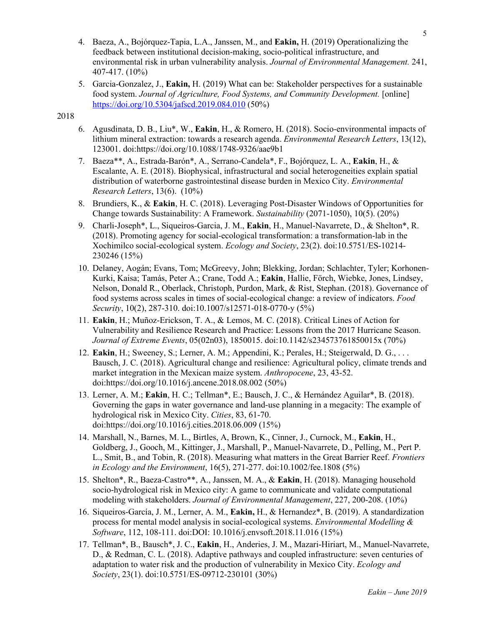- 4. Baeza, A., Bojórquez-Tapia, L.A., Janssen, M., and **Eakin,** H. (2019) Operationalizing the feedback between institutional decision-making, socio-political infrastructure, and environmental risk in urban vulnerability analysis. *Journal of Environmental Management.* 241, 407-417. (10%)
- 5. Garcia-Gonzalez, J., **Eakin,** H. (2019) What can be: Stakeholder perspectives for a sustainable food system. *Journal of Agriculture, Food Systems, and Community Development.* [online] https://doi.org/10.5304/jafscd.2019.084.010 (50%)

- 6. Agusdinata, D. B., Liu\*, W., **Eakin**, H., & Romero, H. (2018). Socio-environmental impacts of lithium mineral extraction: towards a research agenda. *Environmental Research Letters*, 13(12), 123001. doi:https://doi.org/10.1088/1748-9326/aae9b1
- 7. Baeza\*\*, A., Estrada-Barón\*, A., Serrano-Candela\*, F., Bojórquez, L. A., **Eakin**, H., & Escalante, A. E. (2018). Biophysical, infrastructural and social heterogeneities explain spatial distribution of waterborne gastrointestinal disease burden in Mexico City. *Environmental Research Letters*, 13(6). (10%)
- 8. Brundiers, K., & **Eakin**, H. C. (2018). Leveraging Post-Disaster Windows of Opportunities for Change towards Sustainability: A Framework. *Sustainability* (2071-1050), 10(5). (20%)
- 9. Charli-Joseph\*, L., Siqueiros-Garcia, J. M., **Eakin**, H., Manuel-Navarrete, D., & Shelton\*, R. (2018). Promoting agency for social-ecological transformation: a transformation-lab in the Xochimilco social-ecological system. *Ecology and Society*, 23(2). doi:10.5751/ES-10214- 230246 (15%)
- 10. Delaney, Aogán; Evans, Tom; McGreevy, John; Blekking, Jordan; Schlachter, Tyler; Korhonen-Kurki, Kaisa; Tamás, Peter A.; Crane, Todd A.; **Eakin**, Hallie, Förch, Wiebke, Jones, Lindsey, Nelson, Donald R., Oberlack, Christoph, Purdon, Mark, & Rist, Stephan. (2018). Governance of food systems across scales in times of social-ecological change: a review of indicators. *Food Security*, 10(2), 287-310. doi:10.1007/s12571-018-0770-y (5%)
- 11. **Eakin**, H.; Muñoz-Erickson, T. A., & Lemos, M. C. (2018). Critical Lines of Action for Vulnerability and Resilience Research and Practice: Lessons from the 2017 Hurricane Season. *Journal of Extreme Events*, 05(02n03), 1850015. doi:10.1142/s234573761850015x (70%)
- 12. **Eakin**, H.; Sweeney, S.; Lerner, A. M.; Appendini, K.; Perales, H.; Steigerwald, D. G., . . . Bausch, J. C. (2018). Agricultural change and resilience: Agricultural policy, climate trends and market integration in the Mexican maize system. *Anthropocene*, 23, 43-52. doi:https://doi.org/10.1016/j.ancene.2018.08.002 (50%)
- 13. Lerner, A. M.; **Eakin**, H. C.; Tellman\*, E.; Bausch, J. C., & Hernández Aguilar\*, B. (2018). Governing the gaps in water governance and land-use planning in a megacity: The example of hydrological risk in Mexico City. *Cities*, 83, 61-70. doi:https://doi.org/10.1016/j.cities.2018.06.009 (15%)
- 14. Marshall, N., Barnes, M. L., Birtles, A, Brown, K., Cinner, J., Curnock, M., **Eakin**, H., Goldberg, J., Gooch, M., Kittinger, J., Marshall, P., Manuel-Navarrete, D., Pelling, M., Pert P. L., Smit, B., and Tobin, R. (2018). Measuring what matters in the Great Barrier Reef. *Frontiers in Ecology and the Environment*, 16(5), 271-277. doi:10.1002/fee.1808 (5%)
- 15. Shelton\*, R., Baeza-Castro\*\*, A., Janssen, M. A., & **Eakin**, H. (2018). Managing household socio-hydrological risk in Mexico city: A game to communicate and validate computational modeling with stakeholders. *Journal of Environmental Management*, 227, 200-208. (10%)
- 16. Siqueiros-García, J. M., Lerner, A. M., **Eakin,** H., & Hernandez\*, B. (2019). A standardization process for mental model analysis in social-ecological systems. *Environmental Modelling & Software*, 112, 108-111. doi:DOI: 10.1016/j.envsoft.2018.11.016 (15%)
- 17. Tellman\*, B., Bausch\*, J. C., **Eakin**, H., Anderies, J. M., Mazari-Hiriart, M., Manuel-Navarrete, D., & Redman, C. L. (2018). Adaptive pathways and coupled infrastructure: seven centuries of adaptation to water risk and the production of vulnerability in Mexico City. *Ecology and Society*, 23(1). doi:10.5751/ES-09712-230101 (30%)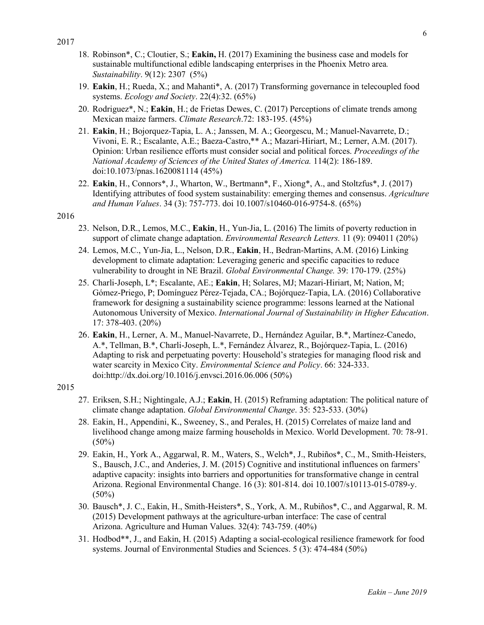- 18. Robinson\*, C.; Cloutier, S.; **Eakin,** H. (2017) Examining the business case and models for sustainable multifunctional edible landscaping enterprises in the Phoenix Metro area*. Sustainability*. 9(12): 2307 (5%)
- 19. **Eakin**, H.; Rueda, X.; and Mahanti\*, A. (2017) Transforming governance in telecoupled food systems. *Ecology and Society*. 22(4):32. (65%)
- 20. Rodriguez\*, N.; **Eakin**, H.; de Frietas Dewes, C. (2017) Perceptions of climate trends among Mexican maize farmers. *Climate Research*.72: 183-195. (45%)
- 21. **Eakin**, H.; Bojorquez-Tapia, L. A.; Janssen, M. A.; Georgescu, M.; Manuel-Navarrete, D.; Vivoni, E. R.; Escalante, A.E.; Baeza-Castro,\*\* A.; Mazari-Hiriart, M.; Lerner, A.M. (2017). Opinion: Urban resilience efforts must consider social and political forces. *Proceedings of the National Academy of Sciences of the United States of America.* 114(2): 186-189. doi:10.1073/pnas.1620081114 (45%)
- 22. **Eakin**, H., Connors\*, J., Wharton, W., Bertmann\*, F., Xiong\*, A., and Stoltzfus\*, J. (2017) Identifying attributes of food system sustainability: emerging themes and consensus. *Agriculture and Human Values*. 34 (3): 757-773. doi 10.1007/s10460-016-9754-8. (65%)

- 23. Nelson, D.R., Lemos, M.C., **Eakin**, H., Yun-Jia, L. (2016) The limits of poverty reduction in support of climate change adaptation. *Environmental Research Letters.* 11 (9): 094011 (20%)
- 24. Lemos, M.C., Yun-Jia, L., Nelson, D.R., **Eakin**, H., Bedran-Martins, A.M. (2016) Linking development to climate adaptation: Leveraging generic and specific capacities to reduce vulnerability to drought in NE Brazil. *Global Environmental Change.* 39: 170-179. (25%)
- 25. Charli-Joseph, L\*; Escalante, AE.; **Eakin**, H; Solares, MJ; Mazari-Hiriart, M; Nation, M; Gómez-Priego, P; Domínguez Pérez-Tejada, CA.; Bojórquez-Tapia, LA. (2016) Collaborative framework for designing a sustainability science programme: lessons learned at the National Autonomous University of Mexico. *International Journal of Sustainability in Higher Education*. 17: 378-403. (20%)
- 26. **Eakin**, H., Lerner, A. M., Manuel-Navarrete, D., Hernández Aguilar, B.\*, Martínez-Canedo, A.\*, Tellman, B.\*, Charli-Joseph, L.\*, Fernández Álvarez, R., Bojórquez-Tapia, L. (2016) Adapting to risk and perpetuating poverty: Household's strategies for managing flood risk and water scarcity in Mexico City. *Environmental Science and Policy*. 66: 324-333. doi:http://dx.doi.org/10.1016/j.envsci.2016.06.006 (50%)

- 27. Eriksen, S.H.; Nightingale, A.J.; **Eakin**, H. (2015) Reframing adaptation: The political nature of climate change adaptation. *Global Environmental Change*. 35: 523-533. (30%)
- 28. Eakin, H., Appendini, K., Sweeney, S., and Perales, H. (2015) Correlates of maize land and livelihood change among maize farming households in Mexico. World Development. 70: 78-91.  $(50\%)$
- 29. Eakin, H., York A., Aggarwal, R. M., Waters, S., Welch\*, J., Rubiños\*, C., M., Smith-Heisters, S., Bausch, J.C., and Anderies, J. M. (2015) Cognitive and institutional influences on farmers' adaptive capacity: insights into barriers and opportunities for transformative change in central Arizona. Regional Environmental Change. 16 (3): 801-814. doi 10.1007/s10113-015-0789-y.  $(50\%)$
- 30. Bausch\*, J. C., Eakin, H., Smith-Heisters\*, S., York, A. M., Rubiños\*, C., and Aggarwal, R. M. (2015) Development pathways at the agriculture-urban interface: The case of central Arizona. Agriculture and Human Values. 32(4): 743-759. (40%)
- 31. Hodbod\*\*, J., and Eakin, H. (2015) Adapting a social-ecological resilience framework for food systems. Journal of Environmental Studies and Sciences. 5 (3): 474-484 (50%)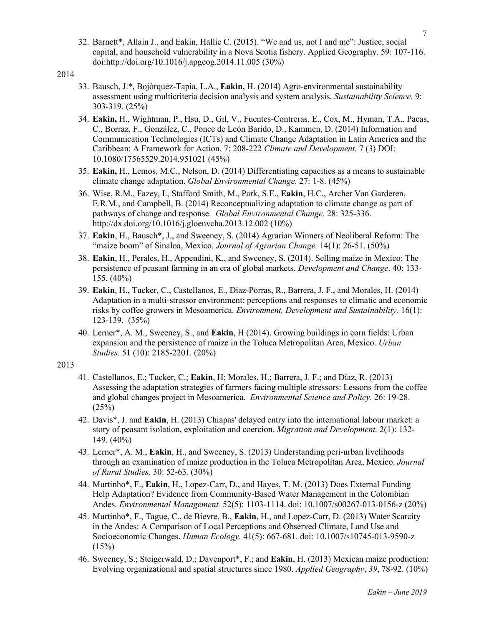32. Barnett\*, Allain J., and Eakin, Hallie C. (2015). "We and us, not I and me": Justice, social capital, and household vulnerability in a Nova Scotia fishery. Applied Geography. 59: 107-116. doi:http://doi.org/10.1016/j.apgeog.2014.11.005 (30%)

#### 2014

- 33. Bausch, J.\*, Bojórquez-Tapia, L.A., **Eakin,** H. (2014) Agro-environmental sustainability assessment using multicriteria decision analysis and system analysis. *Sustainability Science.* 9: 303-319. (25%)
- 34. **Eakin,** H., Wightman, P., Hsu, D., Gil, V., Fuentes-Contreras, E., Cox, M., Hyman, T.A., Pacas, C., Borraz, F., González, C., Ponce de León Barido, D., Kammen, D. (2014) Information and Communication Technologies (ICTs) and Climate Change Adaptation in Latin America and the Caribbean: A Framework for Action. 7: 208-222 *Climate and Development.* 7 (3) DOI: 10.1080/17565529.2014.951021 (45%)
- 35. **Eakin,** H., Lemos, M.C., Nelson, D. (2014) Differentiating capacities as a means to sustainable climate change adaptation. *Global Environmental Change.* 27: 1-8. (45%)
- 36. Wise, R.M., Fazey, I., Stafford Smith, M., Park, S.E., **Eakin**, H.C., Archer Van Garderen, E.R.M., and Campbell, B. (2014) Reconceptualizing adaptation to climate change as part of pathways of change and response. *Global Environmental Change.* 28: 325-336. http://dx.doi.org/10.1016/j.gloenvcha.2013.12.002 (10%)
- 37. **Eakin**, H., Bausch\*, J., and Sweeney, S. (2014) Agrarian Winners of Neoliberal Reform: The "maize boom" of Sinaloa, Mexico. *Journal of Agrarian Change.* 14(1): 26-51. (50%)
- 38. **Eakin**, H., Perales, H., Appendini, K., and Sweeney, S. (2014). Selling maize in Mexico: The persistence of peasant farming in an era of global markets. *Development and Change*. 40: 133- 155. (40%)
- 39. **Eakin**, H., Tucker, C., Castellanos, E., Diaz-Porras, R., Barrera, J. F., and Morales, H. (2014) Adaptation in a multi-stressor environment: perceptions and responses to climatic and economic risks by coffee growers in Mesoamerica. *Environment, Development and Sustainability.* 16(1): 123-139. (35%)
- 40. Lerner\*, A. M., Sweeney, S., and **Eakin**, H (2014). Growing buildings in corn fields: Urban expansion and the persistence of maize in the Toluca Metropolitan Area, Mexico. *Urban Studies*. 51 (10): 2185-2201. (20%)

- 41. Castellanos, E.; Tucker, C.; **Eakin**, H; Morales, H.; Barrera, J. F.; and Díaz, R. (2013) Assessing the adaptation strategies of farmers facing multiple stressors: Lessons from the coffee and global changes project in Mesoamerica. *Environmental Science and Policy.* 26: 19-28.  $(25%)$
- 42. Davis\*, J. and **Eakin**, H. (2013) Chiapas' delayed entry into the international labour market: a story of peasant isolation, exploitation and coercion. *Migration and Development.* 2(1): 132- 149. (40%)
- 43. Lerner\*, A. M., **Eakin**, H., and Sweeney, S. (2013) Understanding peri-urban livelihoods through an examination of maize production in the Toluca Metropolitan Area, Mexico. *Journal of Rural Studies.* 30: 52-63. (30%)
- 44. Murtinho\*, F., **Eakin**, H., Lopez-Carr, D., and Hayes, T. M. (2013) Does External Funding Help Adaptation? Evidence from Community-Based Water Management in the Colombian Andes. *Environmental Management.* 52(5): 1103-1114. doi: 10.1007/s00267-013-0156-z (20%)
- 45. Murtinho\*, F., Tague, C., de Bievre, B., **Eakin**, H., and Lopez-Carr, D. (2013) Water Scarcity in the Andes: A Comparison of Local Perceptions and Observed Climate, Land Use and Socioeconomic Changes. *Human Ecology.* 41(5): 667-681. doi: 10.1007/s10745-013-9590-z  $(15%)$
- 46. Sweeney, S.; Steigerwald, D.; Davenport\*, F.; and **Eakin**, H. (2013) Mexican maize production: Evolving organizational and spatial structures since 1980. *Applied Geography*, *39*, 78-92. (10%)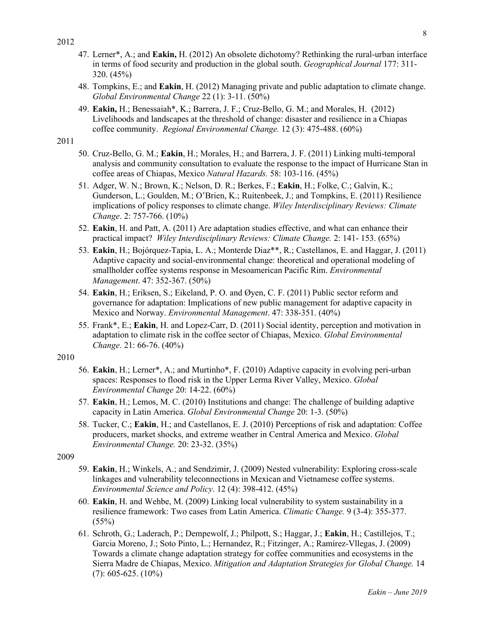- 47. Lerner\*, A.; and **Eakin,** H. (2012) An obsolete dichotomy? Rethinking the rural-urban interface in terms of food security and production in the global south. *Geographical Journal* 177: 311- 320. (45%)
- 48. Tompkins, E.; and **Eakin**, H. (2012) Managing private and public adaptation to climate change. *Global Environmental Change* 22 (1): 3-11. (50%)
- 49. **Eakin,** H.; Benessaiah\*, K.; Barrera, J. F.; Cruz-Bello, G. M.; and Morales, H. (2012) Livelihoods and landscapes at the threshold of change: disaster and resilience in a Chiapas coffee community. *Regional Environmental Change.* 12 (3): 475-488. (60%)
- 2011
- 50. Cruz-Bello, G. M.; **Eakin**, H.; Morales, H.; and Barrera, J. F. (2011) Linking multi-temporal analysis and community consultation to evaluate the response to the impact of Hurricane Stan in coffee areas of Chiapas, Mexico *Natural Hazards.* 58: 103-116. (45%)
- 51. Adger, W. N.; Brown, K.; Nelson, D. R.; Berkes, F.; **Eakin**, H.; Folke, C.; Galvin, K.; Gunderson, L.; Goulden, M.; O'Brien, K.; Ruitenbeek, J.; and Tompkins, E. (2011) Resilience implications of policy responses to climate change. *Wiley Interdisciplinary Reviews: Climate Change*. 2: 757-766. (10%)
- 52. **Eakin**, H. and Patt, A. (2011) Are adaptation studies effective, and what can enhance their practical impact? *Wiley Interdisciplinary Reviews: Climate Change.* 2: 141- 153. (65%)
- 53. **Eakin**, H.; Bojórquez-Tapia, L. A.; Monterde Diaz\*\*, R.; Castellanos, E. and Haggar, J. (2011) Adaptive capacity and social-environmental change: theoretical and operational modeling of smallholder coffee systems response in Mesoamerican Pacific Rim. *Environmental Management*. 47: 352-367. (50%)
- 54. **Eakin**, H.; Eriksen, S.; Eikeland, P. O. and Øyen, C. F. (2011) Public sector reform and governance for adaptation: Implications of new public management for adaptive capacity in Mexico and Norway. *Environmental Management*. 47: 338-351. (40%)
- 55. Frank\*, E.; **Eakin**, H. and Lopez-Carr, D. (2011) Social identity, perception and motivation in adaptation to climate risk in the coffee sector of Chiapas, Mexico. *Global Environmental Change*. 21: 66-76. (40%)

# 2010

- 56. **Eakin**, H.; Lerner\*, A.; and Murtinho\*, F. (2010) Adaptive capacity in evolving peri-urban spaces: Responses to flood risk in the Upper Lerma River Valley, Mexico. *Global Environmental Change* 20: 14-22. (60%)
- 57. **Eakin**, H.; Lemos, M. C. (2010) Institutions and change: The challenge of building adaptive capacity in Latin America. *Global Environmental Change* 20: 1-3. (50%)
- 58. Tucker, C.; **Eakin**, H.; and Castellanos, E. J. (2010) Perceptions of risk and adaptation: Coffee producers, market shocks, and extreme weather in Central America and Mexico. *Global Environmental Change.* 20: 23-32. (35%)

- 59. **Eakin**, H.; Winkels, A.; and Sendzimir, J. (2009) Nested vulnerability: Exploring cross-scale linkages and vulnerability teleconnections in Mexican and Vietnamese coffee systems. *Environmental Science and Policy*. 12 (4): 398-412. (45%)
- 60. **Eakin**, H. and Wehbe, M. (2009) Linking local vulnerability to system sustainability in a resilience framework: Two cases from Latin America. *Climatic Change.* 9 (3-4): 355-377.  $(55%)$
- 61. Schroth, G.; Laderach, P.; Dempewolf, J.; Philpott, S.; Haggar, J.; **Eakin**, H.; Castillejos, T.; Garcia Moreno, J.; Soto Pinto, L.; Hernandez, R.; Fitzinger, A.; Ramírez-Vllegas, J. (2009) Towards a climate change adaptation strategy for coffee communities and ecosystems in the Sierra Madre de Chiapas, Mexico. *Mitigation and Adaptation Strategies for Global Change.* 14  $(7)$ : 605-625.  $(10\%)$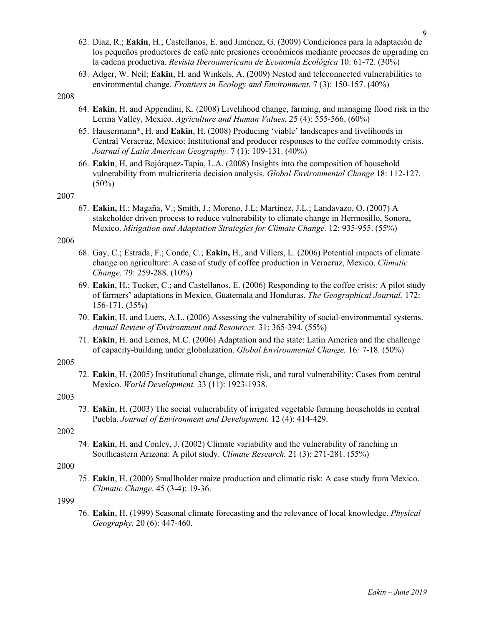- 62. Díaz, R.; **Eakin**, H.; Castellanos, E. and Jiménez, G. (2009) Condiciones para la adaptación de los pequeños productores de café ante presiones económicos mediante procesos de upgrading en la cadena productiva. *Revista Iberoamericana de Economía Ecológica* 10: 61-72. (30%)
- 63. Adger, W. Neil; **Eakin**, H. and Winkels, A. (2009) Nested and teleconnected vulnerabilities to environmental change. *Frontiers in Ecology and Environment.* 7 (3): 150-157. (40%)

- 64. **Eakin**, H. and Appendini, K. (2008) Livelihood change, farming, and managing flood risk in the Lerma Valley, Mexico. *Agriculture and Human Values.* 25 (4): 555-566. (60%)
- 65. Hausermann\*, H. and **Eakin**, H. (2008) Producing 'viable' landscapes and livelihoods in Central Veracruz, Mexico: Institutional and producer responses to the coffee commodity crisis. *Journal of Latin American Geography.* 7 (1): 109-131. (40%)
- 66. **Eakin**, H. and Bojórquez-Tapia, L.A. (2008) Insights into the composition of household vulnerability from multicriteria decision analysis. *Global Environmental Change* 18: 112-127.  $(50\%)$

#### 2007

67. **Eakin,** H.; Magaña, V.; Smith, J.; Moreno, J.L; Martínez, J.L.; Landavazo, O. (2007) A stakeholder driven process to reduce vulnerability to climate change in Hermosillo, Sonora, Mexico. *Mitigation and Adaptation Strategies for Climate Change.* 12: 935-955. (55%)

#### 2006

- 68. Gay, C.; Estrada, F.; Conde, C.; **Eakin,** H., and Villers, L. (2006) Potential impacts of climate change on agriculture: A case of study of coffee production in Veracruz, Mexico. *Climatic Change.* 79: 259-288. (10%)
- 69. **Eakin**, H.; Tucker, C.; and Castellanos, E. (2006) Responding to the coffee crisis: A pilot study of farmers' adaptations in Mexico, Guatemala and Honduras. *The Geographical Journal.* 172: 156-171. (35%)
- 70. **Eakin**, H. and Luers, A.L. (2006) Assessing the vulnerability of social-environmental systems. *Annual Review of Environment and Resources.* 31: 365-394. (55%)
- 71. **Eakin**, H. and Lemos, M.C. (2006) Adaptation and the state: Latin America and the challenge of capacity-building under globalization. *Global Environmental Change.* 16*:* 7-18. (50%)

#### 2005

72. **Eakin**, H. (2005) Institutional change, climate risk, and rural vulnerability: Cases from central Mexico. *World Development.* 33 (11): 1923-1938.

#### 2003

73. **Eakin**, H. (2003) The social vulnerability of irrigated vegetable farming households in central Puebla. *Journal of Environment and Development.* 12 (4): 414-429.

#### 2002

74. **Eakin**, H. and Conley, J. (2002) Climate variability and the vulnerability of ranching in Southeastern Arizona: A pilot study. *Climate Research.* 21 (3): 271-281. (55%)

#### 2000

75. **Eakin**, H. (2000) Smallholder maize production and climatic risk: A case study from Mexico. *Climatic Change.* 45 (3-4): 19-36.

#### 1999

76. **Eakin**, H. (1999) Seasonal climate forecasting and the relevance of local knowledge. *Physical Geography.* 20 (6): 447-460.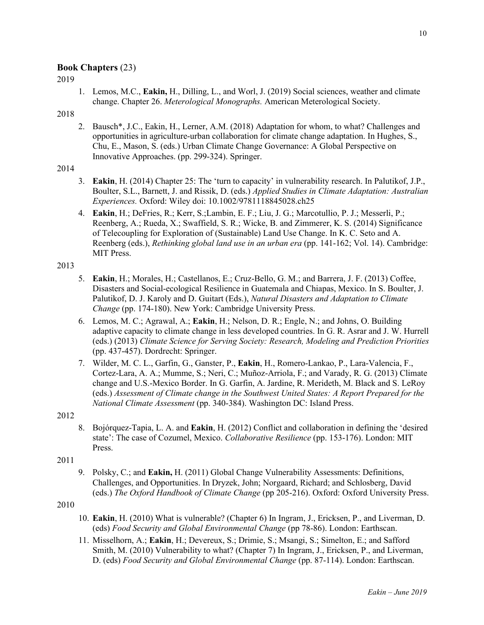# **Book Chapters** (23)

2019

1. Lemos, M.C., **Eakin,** H., Dilling, L., and Worl, J. (2019) Social sciences, weather and climate change. Chapter 26. *Meterological Monographs.* American Meterological Society.

### 2018

2. Bausch\*, J.C., Eakin, H., Lerner, A.M. (2018) Adaptation for whom, to what? Challenges and opportunities in agriculture-urban collaboration for climate change adaptation. In Hughes, S., Chu, E., Mason, S. (eds.) Urban Climate Change Governance: A Global Perspective on Innovative Approaches. (pp. 299-324). Springer.

#### 2014

- 3. **Eakin**, H. (2014) Chapter 25: The 'turn to capacity' in vulnerability research. In Palutikof, J.P., Boulter, S.L., Barnett, J. and Rissik, D. (eds.) *Applied Studies in Climate Adaptation: Australian Experiences.* Oxford: Wiley doi: 10.1002/9781118845028.ch25
- 4. **Eakin**, H.; DeFries, R.; Kerr, S.;Lambin, E. F.; Liu, J. G.; Marcotullio, P. J.; Messerli, P.; Reenberg, A.; Rueda, X.; Swaffield, S. R.; Wicke, B. and Zimmerer, K. S. (2014) Significance of Telecoupling for Exploration of (Sustainable) Land Use Change. In K. C. Seto and A. Reenberg (eds.), *Rethinking global land use in an urban era* (pp. 141-162; Vol. 14). Cambridge: MIT Press.

#### 2013

- 5. **Eakin**, H.; Morales, H.; Castellanos, E.; Cruz-Bello, G. M.; and Barrera, J. F. (2013) Coffee, Disasters and Social-ecological Resilience in Guatemala and Chiapas, Mexico. In S. Boulter, J. Palutikof, D. J. Karoly and D. Guitart (Eds.), *Natural Disasters and Adaptation to Climate Change* (pp. 174-180). New York: Cambridge University Press.
- 6. Lemos, M. C.; Agrawal, A.; **Eakin**, H.; Nelson, D. R.; Engle, N.; and Johns, O. Building adaptive capacity to climate change in less developed countries. In G. R. Asrar and J. W. Hurrell (eds.) (2013) *Climate Science for Serving Society: Research, Modeling and Prediction Priorities* (pp. 437-457). Dordrecht: Springer.
- 7. Wilder, M. C. L., Garfin, G., Ganster, P., **Eakin**, H., Romero-Lankao, P., Lara-Valencia, F., Cortez-Lara, A. A.; Mumme, S.; Neri, C.; Muñoz-Arriola, F.; and Varady, R. G. (2013) Climate change and U.S.-Mexico Border. In G. Garfin, A. Jardine, R. Merideth, M. Black and S. LeRoy (eds.) *Assessment of Climate change in the Southwest United States: A Report Prepared for the National Climate Assessment* (pp. 340-384). Washington DC: Island Press.

#### 2012

8. Bojórquez-Tapia, L. A. and **Eakin**, H. (2012) Conflict and collaboration in defining the 'desired state': The case of Cozumel, Mexico. *Collaborative Resilience* (pp. 153-176). London: MIT Press.

2011

9. Polsky, C.; and **Eakin,** H. (2011) Global Change Vulnerability Assessments: Definitions, Challenges, and Opportunities. In Dryzek, John; Norgaard, Richard; and Schlosberg, David (eds.) *The Oxford Handbook of Climate Change* (pp 205-216). Oxford: Oxford University Press.

- 10. **Eakin**, H. (2010) What is vulnerable? (Chapter 6) In Ingram, J., Ericksen, P., and Liverman, D. (eds) *Food Security and Global Environmental Change* (pp 78-86). London: Earthscan.
- 11. Misselhorn, A.; **Eakin**, H.; Devereux, S.; Drimie, S.; Msangi, S.; Simelton, E.; and Safford Smith, M. (2010) Vulnerability to what? (Chapter 7) In Ingram, J., Ericksen, P., and Liverman, D. (eds) *Food Security and Global Environmental Change* (pp. 87-114). London: Earthscan.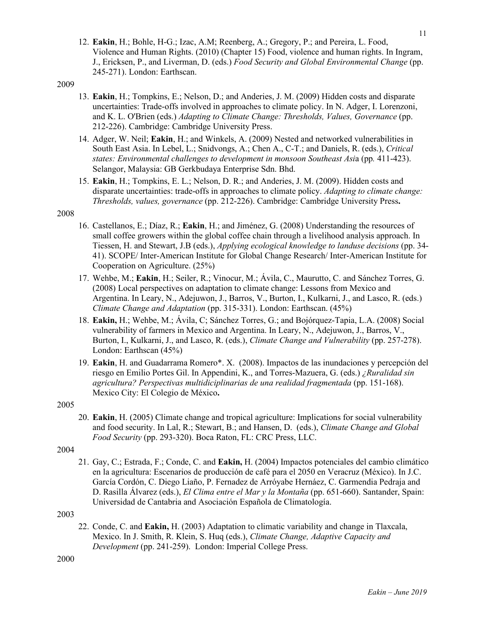- 12. **Eakin**, H.; Bohle, H-G.; Izac, A.M; Reenberg, A.; Gregory, P.; and Pereira, L. Food, Violence and Human Rights. (2010) (Chapter 15) Food, violence and human rights. In Ingram, J., Ericksen, P., and Liverman, D. (eds.) *Food Security and Global Environmental Change* (pp. 245-271). London: Earthscan.
- 2009
- 13. **Eakin**, H.; Tompkins, E.; Nelson, D.; and Anderies, J. M. (2009) Hidden costs and disparate uncertainties: Trade-offs involved in approaches to climate policy. In N. Adger, I. Lorenzoni, and K. L. O'Brien (eds.) *Adapting to Climate Change: Thresholds, Values, Governance* (pp. 212-226). Cambridge: Cambridge University Press.
- 14. Adger, W. Neil; **Eakin**, H.; and Winkels, A. (2009) Nested and networked vulnerabilities in South East Asia. In Lebel, L.; Snidvongs, A.; Chen A., C-T.; and Daniels, R. (eds.), *Critical states: Environmental challenges to development in monsoon Southeast Asi*a (pp*.* 411-423). Selangor, Malaysia: GB Gerkbudaya Enterprise Sdn. Bhd.
- 15. **Eakin**, H.; Tompkins, E. L.; Nelson, D. R.; and Anderies, J. M. (2009). Hidden costs and disparate uncertainties: trade-offs in approaches to climate policy. *Adapting to climate change: Thresholds, values, governance* (pp. 212-226). Cambridge: Cambridge University Press**.**

- 16. Castellanos, E.; Díaz, R.; **Eakin**, H.; and Jiménez, G. (2008) Understanding the resources of small coffee growers within the global coffee chain through a livelihood analysis approach. In Tiessen, H. and Stewart, J.B (eds.), *Applying ecological knowledge to landuse decisions* (pp. 34- 41). SCOPE/ Inter-American Institute for Global Change Research/ Inter-American Institute for Cooperation on Agriculture. (25%)
- 17. Wehbe, M.; **Eakin**, H.; Seiler, R.; Vinocur, M.; Ávila, C., Maurutto, C. and Sánchez Torres, G. (2008) Local perspectives on adaptation to climate change: Lessons from Mexico and Argentina. In Leary, N., Adejuwon, J., Barros, V., Burton, I., Kulkarni, J., and Lasco, R. (eds.) *Climate Change and Adaptation* (pp. 315-331). London: Earthscan. (45%)
- 18. **Eakin,** H.; Wehbe, M.; Ávila, C; Sánchez Torres, G.; and Bojórquez-Tapia, L.A. (2008) Social vulnerability of farmers in Mexico and Argentina. In Leary, N., Adejuwon, J., Barros, V., Burton, I., Kulkarni, J., and Lasco, R. (eds.), *Climate Change and Vulnerability* (pp. 257-278). London: Earthscan (45%)
- 19. **Eakin**, H. and Guadarrama Romero\*. X. (2008). Impactos de las inundaciones y percepción del riesgo en Emilio Portes Gil. In Appendini, K., and Torres-Mazuera, G. (eds.) *¿Ruralidad sin agricultura? Perspectivas multidiciplinarias de una realidad fragmentada* (pp. 151-168). Mexico City: El Colegio de México**.**

#### 2005

20. **Eakin**, H. (2005) Climate change and tropical agriculture: Implications for social vulnerability and food security. In Lal, R.; Stewart, B.; and Hansen, D. (eds.), *Climate Change and Global Food Security* (pp. 293-320). Boca Raton, FL: CRC Press, LLC.

#### 2004

21. Gay, C.; Estrada, F.; Conde, C. and **Eakin,** H. (2004) Impactos potenciales del cambio climático en la agricultura: Escenarios de producción de café para el 2050 en Veracruz (México). In J.C. García Cordón, C. Diego Liaño, P. Fernadez de Arróyabe Hernáez, C. Garmendia Pedraja and D. Rasilla Álvarez (eds.), *El Clima entre el Mar y la Montaña* (pp. 651-660). Santander, Spain: Universidad de Cantabria and Asociación Española de Climatología.

# 2003

22. Conde, C. and **Eakin,** H. (2003) Adaptation to climatic variability and change in Tlaxcala, Mexico. In J. Smith, R. Klein, S. Huq (eds.), *Climate Change, Adaptive Capacity and Development* (pp. 241-259). London: Imperial College Press.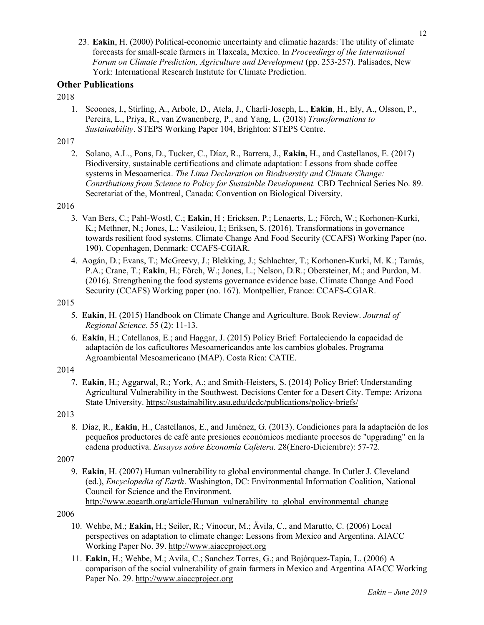23. **Eakin**, H. (2000) Political-economic uncertainty and climatic hazards: The utility of climate forecasts for small-scale farmers in Tlaxcala, Mexico. In *Proceedings of the International Forum on Climate Prediction, Agriculture and Development* (pp. 253-257). Palisades, New York: International Research Institute for Climate Prediction.

# **Other Publications**

#### 2018

1. Scoones, I., Stirling, A., Arbole, D., Atela, J., Charli-Joseph, L., **Eakin**, H., Ely, A., Olsson, P., Pereira, L., Priya, R., van Zwanenberg, P., and Yang, L. (2018) *Transformations to Sustainability*. STEPS Working Paper 104, Brighton: STEPS Centre.

# 2017

2. Solano, A.L., Pons, D., Tucker, C., Díaz, R., Barrera, J., **Eakin,** H., and Castellanos, E. (2017) Biodiversity, sustainable certifications and climate adaptation: Lessons from shade coffee systems in Mesoamerica. *The Lima Declaration on Biodiversity and Climate Change: Contributions from Science to Policy for Sustainble Development.* CBD Technical Series No. 89. Secretariat of the, Montreal, Canada: Convention on Biological Diversity.

#### 2016

- 3. Van Bers, C.; Pahl-Wostl, C.; **Eakin**, H ; Ericksen, P.; Lenaerts, L.; Förch, W.; Korhonen-Kurki, K.; Methner, N.; Jones, L.; Vasileiou, I.; Eriksen, S. (2016). Transformations in governance towards resilient food systems. Climate Change And Food Security (CCAFS) Working Paper (no. 190). Copenhagen, Denmark: CCAFS-CGIAR.
- 4. Aogán, D.; Evans, T.; McGreevy, J.; Blekking, J.; Schlachter, T.; Korhonen-Kurki, M. K.; Tamás, P.A.; Crane, T.; **Eakin**, H.; Förch, W.; Jones, L.; Nelson, D.R.; Obersteiner, M.; and Purdon, M. (2016). Strengthening the food systems governance evidence base. Climate Change And Food Security (CCAFS) Working paper (no. 167). Montpellier, France: CCAFS-CGIAR.

#### 2015

- 5. **Eakin**, H. (2015) Handbook on Climate Change and Agriculture. Book Review. *Journal of Regional Science.* 55 (2): 11-13.
- 6. **Eakin**, H.; Catellanos, E.; and Haggar, J. (2015) Policy Brief: Fortaleciendo la capacidad de adaptación de los caficultores Mesoamericandos ante los cambios globales. Programa Agroambiental Mesoamericano (MAP). Costa Rica: CATIE.

# 2014

7. **Eakin**, H.; Aggarwal, R.; York, A.; and Smith-Heisters, S. (2014) Policy Brief: Understanding Agricultural Vulnerability in the Southwest. Decisions Center for a Desert City. Tempe: Arizona State University. https://sustainability.asu.edu/dcdc/publications/policy-briefs/

# 2013

8. Díaz, R., **Eakin**, H., Castellanos, E., and Jiménez, G. (2013). Condiciones para la adaptación de los pequeños productores de café ante presiones económicos mediante procesos de "upgrading" en la cadena productiva. *Ensayos sobre Economía Cafetera.* 28(Enero-Diciembre): 57-72.

# 2007

9. **Eakin**, H. (2007) Human vulnerability to global environmental change. In Cutler J. Cleveland (ed.), *Encyclopedia of Earth*. Washington, DC: Environmental Information Coalition, National Council for Science and the Environment. http://www.eoearth.org/article/Human\_vulnerability\_to\_global\_environmental\_change

- 10. Wehbe, M.; **Eakin,** H.; Seiler, R.; Vinocur, M.; Ävila, C., and Marutto, C. (2006) Local perspectives on adaptation to climate change: Lessons from Mexico and Argentina. AIACC Working Paper No. 39. http://www.aiaccproject.org
- 11. **Eakin,** H.; Wehbe, M.; Avila, C.; Sanchez Torres, G.; and Bojórquez-Tapia, L. (2006) A comparison of the social vulnerability of grain farmers in Mexico and Argentina AIACC Working Paper No. 29. http://www.aiaccproject.org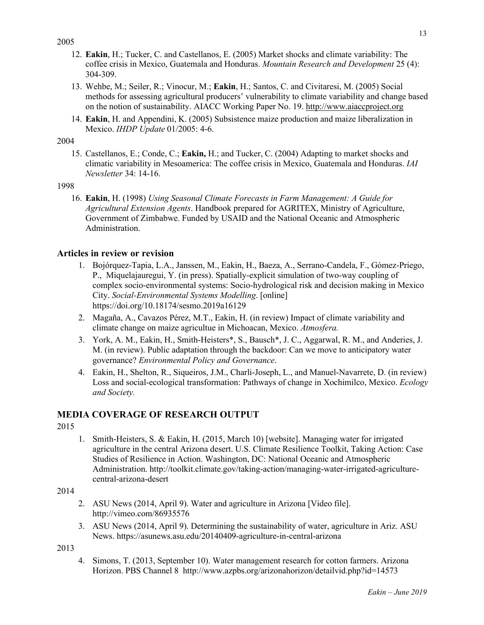- 12. **Eakin**, H.; Tucker, C. and Castellanos, E. (2005) Market shocks and climate variability: The coffee crisis in Mexico, Guatemala and Honduras. *Mountain Research and Development* 25 (4): 304-309.
- 13. Wehbe, M.; Seiler, R.; Vinocur, M.; **Eakin**, H.; Santos, C. and Civitaresi, M. (2005) Social methods for assessing agricultural producers' vulnerability to climate variability and change based on the notion of sustainability. AIACC Working Paper No. 19. http://www.aiaccproject.org
- 14. **Eakin**, H. and Appendini, K. (2005) Subsistence maize production and maize liberalization in Mexico. *IHDP Update* 01/2005: 4-6.

#### 2004

15. Castellanos, E.; Conde, C.; **Eakin,** H.; and Tucker, C. (2004) Adapting to market shocks and climatic variability in Mesoamerica: The coffee crisis in Mexico, Guatemala and Honduras. *IAI Newsletter* 34: 14-16.

# 1998

16. **Eakin**, H. (1998) *Using Seasonal Climate Forecasts in Farm Management: A Guide for Agricultural Extension Agents*. Handbook prepared for AGRITEX, Ministry of Agriculture, Government of Zimbabwe. Funded by USAID and the National Oceanic and Atmospheric Administration.

# **Articles in review or revision**

- 1. Bojórquez-Tapia, L.A., Janssen, M., Eakin, H., Baeza, A., Serrano-Candela, F., Gómez-Priego, P., Miquelajauregui, Y. (in press). Spatially-explicit simulation of two-way coupling of complex socio-environmental systems: Socio-hydrological risk and decision making in Mexico City. *Social-Environmental Systems Modelling*. [online] https://doi.org/10.18174/sesmo.2019a16129
- 2. Magaña, A., Cavazos Pérez, M.T., Eakin, H. (in review) Impact of climate variability and climate change on maize agricultue in Michoacan, Mexico. *Atmosfera.*
- 3. York, A. M., Eakin, H., Smith-Heisters\*, S., Bausch\*, J. C., Aggarwal, R. M., and Anderies, J. M. (in review). Public adaptation through the backdoor: Can we move to anticipatory water governance? *Environmental Policy and Governance*.
- 4. Eakin, H., Shelton, R., Siqueiros, J.M., Charli-Joseph, L., and Manuel-Navarrete, D. (in review) Loss and social-ecological transformation: Pathways of change in Xochimilco, Mexico. *Ecology and Society.*

# **MEDIA COVERAGE OF RESEARCH OUTPUT**

2015

1. Smith-Heisters, S. & Eakin, H. (2015, March 10) [website]. Managing water for irrigated agriculture in the central Arizona desert. U.S. Climate Resilience Toolkit, Taking Action: Case Studies of Resilience in Action. Washington, DC: National Oceanic and Atmospheric Administration. http://toolkit.climate.gov/taking-action/managing-water-irrigated-agriculturecentral-arizona-desert

# 2014

- 2. ASU News (2014, April 9). Water and agriculture in Arizona [Video file]. http://vimeo.com/86935576
- 3. ASU News (2014, April 9). Determining the sustainability of water, agriculture in Ariz. ASU News. https://asunews.asu.edu/20140409-agriculture-in-central-arizona

2013

4. Simons, T. (2013, September 10). Water management research for cotton farmers. Arizona Horizon. PBS Channel 8 http://www.azpbs.org/arizonahorizon/detailvid.php?id=14573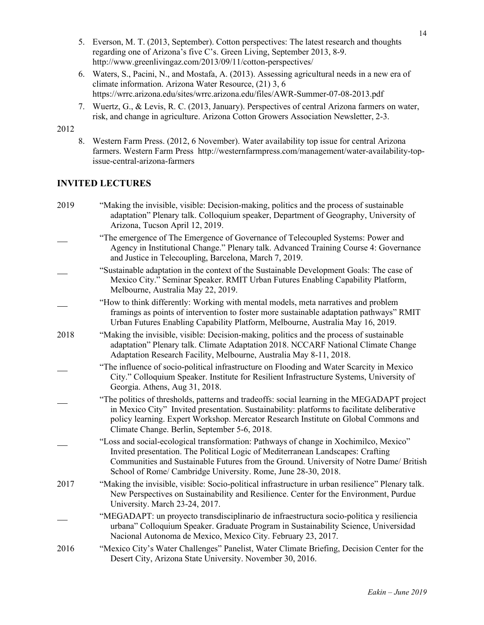- 5. Everson, M. T. (2013, September). Cotton perspectives: The latest research and thoughts regarding one of Arizona's five C's. Green Living, September 2013, 8-9. http://www.greenlivingaz.com/2013/09/11/cotton-perspectives/
- 6. Waters, S., Pacini, N., and Mostafa, A. (2013). Assessing agricultural needs in a new era of climate information. Arizona Water Resource, (21) 3, 6 https://wrrc.arizona.edu/sites/wrrc.arizona.edu/files/AWR-Summer-07-08-2013.pdf
- 7. Wuertz, G., & Levis, R. C. (2013, January). Perspectives of central Arizona farmers on water, risk, and change in agriculture. Arizona Cotton Growers Association Newsletter, 2-3.

8. Western Farm Press. (2012, 6 November). Water availability top issue for central Arizona farmers. Western Farm Press http://westernfarmpress.com/management/water-availability-topissue-central-arizona-farmers

# **INVITED LECTURES**

| 2019 | "Making the invisible, visible: Decision-making, politics and the process of sustainable<br>adaptation" Plenary talk. Colloquium speaker, Department of Geography, University of<br>Arizona, Tucson April 12, 2019.                                                                                                                 |
|------|-------------------------------------------------------------------------------------------------------------------------------------------------------------------------------------------------------------------------------------------------------------------------------------------------------------------------------------|
|      | "The emergence of The Emergence of Governance of Telecoupled Systems: Power and<br>Agency in Institutional Change." Plenary talk. Advanced Training Course 4: Governance<br>and Justice in Telecoupling, Barcelona, March 7, 2019.                                                                                                  |
|      | "Sustainable adaptation in the context of the Sustainable Development Goals: The case of<br>Mexico City." Seminar Speaker. RMIT Urban Futures Enabling Capability Platform,<br>Melbourne, Australia May 22, 2019.                                                                                                                   |
|      | "How to think differently: Working with mental models, meta narratives and problem<br>framings as points of intervention to foster more sustainable adaptation pathways" RMIT<br>Urban Futures Enabling Capability Platform, Melbourne, Australia May 16, 2019.                                                                     |
| 2018 | "Making the invisible, visible: Decision-making, politics and the process of sustainable<br>adaptation" Plenary talk. Climate Adaptation 2018. NCCARF National Climate Change<br>Adaptation Research Facility, Melbourne, Australia May 8-11, 2018.                                                                                 |
|      | "The influence of socio-political infrastructure on Flooding and Water Scarcity in Mexico<br>City." Colloquium Speaker. Institute for Resilient Infrastructure Systems, University of<br>Georgia. Athens, Aug 31, 2018.                                                                                                             |
|      | "The politics of thresholds, patterns and tradeoffs: social learning in the MEGADAPT project<br>in Mexico City" Invited presentation. Sustainability: platforms to facilitate deliberative<br>policy learning. Expert Workshop. Mercator Research Institute on Global Commons and<br>Climate Change. Berlin, September 5-6, 2018.   |
|      | "Loss and social-ecological transformation: Pathways of change in Xochimilco, Mexico"<br>Invited presentation. The Political Logic of Mediterranean Landscapes: Crafting<br>Communities and Sustainable Futures from the Ground. University of Notre Dame/ British<br>School of Rome/ Cambridge University. Rome, June 28-30, 2018. |
| 2017 | "Making the invisible, visible: Socio-political infrastructure in urban resilience" Plenary talk.<br>New Perspectives on Sustainability and Resilience. Center for the Environment, Purdue<br>University. March 23-24, 2017.                                                                                                        |
|      | "MEGADAPT: un proyecto transdisciplinario de infraestructura socio-politica y resiliencia<br>urbana" Colloquium Speaker. Graduate Program in Sustainability Science, Universidad<br>Nacional Autonoma de Mexico, Mexico City. February 23, 2017.                                                                                    |
| 2016 | "Mexico City's Water Challenges" Panelist, Water Climate Briefing, Decision Center for the<br>Desert City, Arizona State University. November 30, 2016.                                                                                                                                                                             |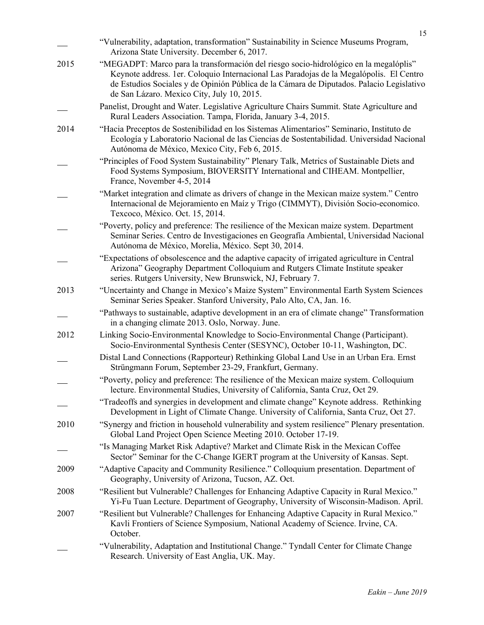|      | "Vulnerability, adaptation, transformation" Sustainability in Science Museums Program,<br>Arizona State University. December 6, 2017.                                                                                                                                                                                      |
|------|----------------------------------------------------------------------------------------------------------------------------------------------------------------------------------------------------------------------------------------------------------------------------------------------------------------------------|
| 2015 | "MEGADPT: Marco para la transformación del riesgo socio-hidrológico en la megalóplis"<br>Keynote address. 1er. Coloquio Internacional Las Paradojas de la Megalópolis. El Centro<br>de Estudios Sociales y de Opinión Pública de la Cámara de Diputados. Palacio Legislativo<br>de San Lázaro. Mexico City, July 10, 2015. |
|      | Panelist, Drought and Water. Legislative Agriculture Chairs Summit. State Agriculture and<br>Rural Leaders Association. Tampa, Florida, January 3-4, 2015.                                                                                                                                                                 |
| 2014 | "Hacia Preceptos de Sostenibilidad en los Sistemas Alimentarios" Seminario, Instituto de<br>Ecología y Laboratorio Nacional de las Ciencias de Sostentabilidad. Universidad Nacional<br>Autónoma de México, Mexico City, Feb 6, 2015.                                                                                      |
|      | "Principles of Food System Sustainability" Plenary Talk, Metrics of Sustainable Diets and<br>Food Systems Symposium, BIOVERSITY International and CIHEAM. Montpellier,<br>France, November 4-5, 2014                                                                                                                       |
|      | "Market integration and climate as drivers of change in the Mexican maize system." Centro<br>Internacional de Mejoramiento en Maíz y Trigo (CIMMYT), División Socio-economico.<br>Texcoco, México. Oct. 15, 2014.                                                                                                          |
|      | "Poverty, policy and preference: The resilience of the Mexican maize system. Department<br>Seminar Series. Centro de Investigaciones en Geografía Ambiental, Universidad Nacional<br>Autónoma de México, Morelia, México. Sept 30, 2014.                                                                                   |
|      | "Expectations of obsolescence and the adaptive capacity of irrigated agriculture in Central<br>Arizona" Geography Department Colloquium and Rutgers Climate Institute speaker<br>series. Rutgers University, New Brunswick, NJ, February 7.                                                                                |
| 2013 | "Uncertainty and Change in Mexico's Maize System" Environmental Earth System Sciences<br>Seminar Series Speaker. Stanford University, Palo Alto, CA, Jan. 16.                                                                                                                                                              |
|      | "Pathways to sustainable, adaptive development in an era of climate change" Transformation<br>in a changing climate 2013. Oslo, Norway. June.                                                                                                                                                                              |
| 2012 | Linking Socio-Environmental Knowledge to Socio-Environmental Change (Participant).<br>Socio-Environmental Synthesis Center (SESYNC), October 10-11, Washington, DC.                                                                                                                                                        |
|      | Distal Land Connections (Rapporteur) Rethinking Global Land Use in an Urban Era. Ernst<br>Strüngmann Forum, September 23-29, Frankfurt, Germany.                                                                                                                                                                           |
|      | "Poverty, policy and preference: The resilience of the Mexican maize system. Colloquium<br>lecture. Environmental Studies, University of California, Santa Cruz, Oct 29                                                                                                                                                    |
|      | "Tradeoffs and synergies in development and climate change" Keynote address. Rethinking<br>Development in Light of Climate Change. University of California, Santa Cruz, Oct 27.                                                                                                                                           |
| 2010 | "Synergy and friction in household vulnerability and system resilience" Plenary presentation.<br>Global Land Project Open Science Meeting 2010. October 17-19.                                                                                                                                                             |
|      | "Is Managing Market Risk Adaptive? Market and Climate Risk in the Mexican Coffee<br>Sector" Seminar for the C-Change IGERT program at the University of Kansas. Sept.                                                                                                                                                      |
| 2009 | "Adaptive Capacity and Community Resilience." Colloquium presentation. Department of<br>Geography, University of Arizona, Tucson, AZ. Oct.                                                                                                                                                                                 |
| 2008 | "Resilient but Vulnerable? Challenges for Enhancing Adaptive Capacity in Rural Mexico."<br>Yi-Fu Tuan Lecture. Department of Geography, University of Wisconsin-Madison. April.                                                                                                                                            |
| 2007 | "Resilient but Vulnerable? Challenges for Enhancing Adaptive Capacity in Rural Mexico."<br>Kavli Frontiers of Science Symposium, National Academy of Science. Irvine, CA.<br>October.                                                                                                                                      |
|      | "Vulnerability, Adaptation and Institutional Change." Tyndall Center for Climate Change<br>Research. University of East Anglia, UK. May.                                                                                                                                                                                   |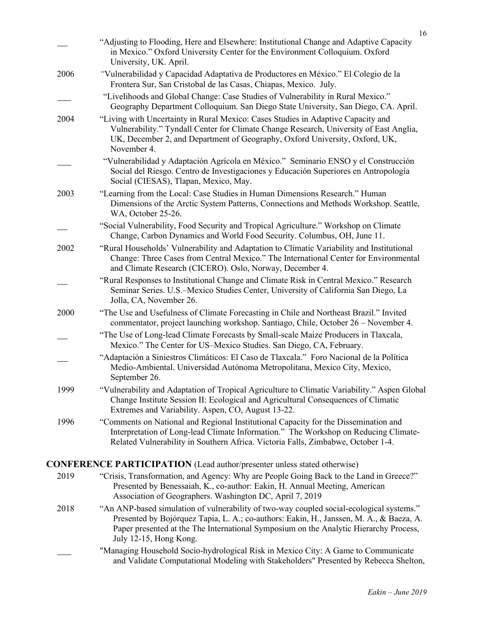|      | "Adjusting to Flooding, Here and Elsewhere: Institutional Change and Adaptive Capacity<br>in Mexico." Oxford University Center for the Environment Colloquium. Oxford<br>University, UK. April.                                                                                                        |
|------|--------------------------------------------------------------------------------------------------------------------------------------------------------------------------------------------------------------------------------------------------------------------------------------------------------|
| 2006 | "Vulnerabilidad y Capacidad Adaptativa de Productores en México." El Colegio de la<br>Frontera Sur, San Cristobal de las Casas, Chiapas, Mexico. July.                                                                                                                                                 |
|      | "Livelihoods and Global Change: Case Studies of Vulnerability in Rural Mexico."<br>Geography Department Colloquium. San Diego State University, San Diego, CA. April.                                                                                                                                  |
| 2004 | "Living with Uncertainty in Rural Mexico: Cases Studies in Adaptive Capacity and<br>Vulnerability." Tyndall Center for Climate Change Research, University of East Anglia,<br>UK, December 2, and Department of Geography, Oxford University, Oxford, UK,<br>November 4.                               |
|      | "Vulnerabilidad y Adaptación Agrícola en México." Seminario ENSO y el Construcción<br>Social del Riesgo. Centro de Investigaciones y Educación Superiores en Antropología<br>Social (CIESAS), Tlapan, Mexico, May.                                                                                     |
| 2003 | "Learning from the Local: Case Studies in Human Dimensions Research." Human<br>Dimensions of the Arctic System Patterns, Connections and Methods Workshop. Seattle,<br>WA, October 25-26.                                                                                                              |
|      | "Social Vulnerability, Food Security and Tropical Agriculture." Workshop on Climate<br>Change, Carbon Dynamics and World Food Security. Columbus, OH, June 11.                                                                                                                                         |
| 2002 | "Rural Households' Vulnerability and Adaptation to Climatic Variability and Institutional<br>Change: Three Cases from Central Mexico." The International Center for Environmental<br>and Climate Research (CICERO). Oslo, Norway, December 4.                                                          |
|      | "Rural Responses to Institutional Change and Climate Risk in Central Mexico." Research<br>Seminar Series. U.S.-Mexico Studies Center, University of California San Diego, La<br>Jolla, CA, November 26.                                                                                                |
| 2000 | "The Use and Usefulness of Climate Forecasting in Chile and Northeast Brazil." Invited<br>commentator, project launching workshop. Santiago, Chile, October 26 – November 4.                                                                                                                           |
|      | "The Use of Long-lead Climate Forecasts by Small-scale Maize Producers in Tlaxcala,<br>Mexico." The Center for US-Mexico Studies. San Diego, CA, February.                                                                                                                                             |
|      | "Adaptación a Siniestros Climáticos: El Caso de Tlaxcala." Foro Nacional de la Política<br>Medio-Ambiental. Universidad Autónoma Metropolitana, Mexico City, Mexico,<br>September 26.                                                                                                                  |
| 1999 | "Vulnerability and Adaptation of Tropical Agriculture to Climatic Variability." Aspen Global<br>Change Institute Session II: Ecological and Agricultural Consequences of Climatic<br>Extremes and Variability. Aspen, CO, August 13-22.                                                                |
| 1996 | "Comments on National and Regional Institutional Capacity for the Dissemination and<br>Interpretation of Long-lead Climate Information." The Workshop on Reducing Climate-<br>Related Vulnerability in Southern Africa. Victoria Falls, Zimbabwe, October 1-4.                                         |
|      | <b>CONFERENCE PARTICIPATION</b> (Lead author/presenter unless stated otherwise)                                                                                                                                                                                                                        |
| 2019 | "Crisis, Transformation, and Agency: Why are People Going Back to the Land in Greece?"<br>Presented by Benessaiah, K., co-author: Eakin, H. Annual Meeting, American<br>Association of Geographers. Washington DC, April 7, 2019                                                                       |
| 2018 | "An ANP-based simulation of vulnerability of two-way coupled social-ecological systems."<br>Presented by Bojórquez Tapia, L. A.; co-authors: Eakin, H., Janssen, M. A., & Baeza, A.<br>Paper presented at the The International Symposium on the Analytic Hierarchy Process,<br>July 12-15, Hong Kong. |
|      | "Managing Household Socio-hydrological Risk in Mexico City: A Game to Communicate<br>and Validate Computational Modeling with Stakeholders" Presented by Rebecca Shelton,                                                                                                                              |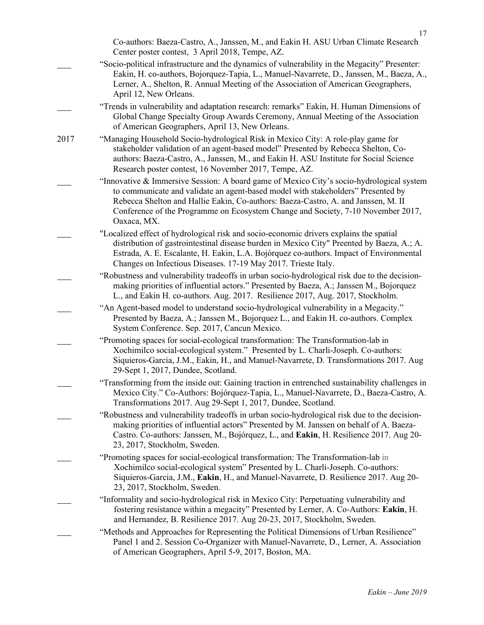|      | Co-authors: Baeza-Castro, A., Janssen, M., and Eakin H. ASU Urban Climate Research<br>Center poster contest, 3 April 2018, Tempe, AZ.                                                                                                                                                                                                                                |
|------|----------------------------------------------------------------------------------------------------------------------------------------------------------------------------------------------------------------------------------------------------------------------------------------------------------------------------------------------------------------------|
|      | "Socio-political infrastructure and the dynamics of vulnerability in the Megacity" Presenter:<br>Eakin, H. co-authors, Bojorquez-Tapia, L., Manuel-Navarrete, D., Janssen, M., Baeza, A.,<br>Lerner, A., Shelton, R. Annual Meeting of the Association of American Geographers,<br>April 12, New Orleans.                                                            |
|      | "Trends in vulnerability and adaptation research: remarks" Eakin, H. Human Dimensions of<br>Global Change Specialty Group Awards Ceremony, Annual Meeting of the Association<br>of American Geographers, April 13, New Orleans.                                                                                                                                      |
| 2017 | "Managing Household Socio-hydrological Risk in Mexico City: A role-play game for<br>stakeholder validation of an agent-based model" Presented by Rebecca Shelton, Co-<br>authors: Baeza-Castro, A., Janssen, M., and Eakin H. ASU Institute for Social Science<br>Research poster contest, 16 November 2017, Tempe, AZ.                                              |
|      | "Innovative & Immersive Session: A board game of Mexico City's socio-hydrological system<br>to communicate and validate an agent-based model with stakeholders" Presented by<br>Rebecca Shelton and Hallie Eakin, Co-authors: Baeza-Castro, A. and Janssen, M. II<br>Conference of the Programme on Ecosystem Change and Society, 7-10 November 2017,<br>Oaxaca, MX. |
|      | "Localized effect of hydrological risk and socio-economic drivers explains the spatial<br>distribution of gastrointestinal disease burden in Mexico City" Preented by Baeza, A.; A.<br>Estrada, A. E. Escalante, H. Eakin, L.A. Bojórquez co-authors. Impact of Environmental<br>Changes on Infectious Diseases. 17-19 May 2017. Trieste Italy.                      |
|      | "Robustness and vulnerability tradeoffs in urban socio-hydrological risk due to the decision-<br>making priorities of influential actors." Presented by Baeza, A.; Janssen M., Bojorquez<br>L., and Eakin H. co-authors. Aug. 2017. Resilience 2017, Aug. 2017, Stockholm.                                                                                           |
|      | "An Agent-based model to understand socio-hydrological vulnerability in a Megacity."<br>Presented by Baeza, A.; Janssen M., Bojorquez L., and Eakin H. co-authors. Complex<br>System Conference. Sep. 2017, Cancun Mexico.                                                                                                                                           |
|      | "Promoting spaces for social-ecological transformation: The Transformation-lab in<br>Xochimilco social-ecological system." Presented by L. Charli-Joseph. Co-authors:<br>Siquieros-Garcia, J.M., Eakin, H., and Manuel-Navarrete, D. Transformations 2017. Aug<br>29-Sept 1, 2017, Dundee, Scotland.                                                                 |
|      | "Transforming from the inside out: Gaining traction in entrenched sustainability challenges in<br>Mexico City." Co-Authors: Bojórquez-Tapia, L., Manuel-Navarrete, D., Baeza-Castro, A.<br>Transformations 2017. Aug 29-Sept 1, 2017, Dundee, Scotland.                                                                                                              |
|      | "Robustness and vulnerability tradeoffs in urban socio-hydrological risk due to the decision-<br>making priorities of influential actors" Presented by M. Janssen on behalf of A. Baeza-<br>Castro. Co-authors: Janssen, M., Bojórquez, L., and Eakin, H. Resilience 2017. Aug 20-<br>23, 2017, Stockholm, Sweden.                                                   |
|      | "Promoting spaces for social-ecological transformation: The Transformation-lab in<br>Xochimilco social-ecological system" Presented by L. Charli-Joseph. Co-authors:<br>Siquieros-Garcia, J.M., Eakin, H., and Manuel-Navarrete, D. Resilience 2017. Aug 20-<br>23, 2017, Stockholm, Sweden.                                                                         |
|      | "Informality and socio-hydrological risk in Mexico City: Perpetuating vulnerability and<br>fostering resistance within a megacity" Presented by Lerner, A. Co-Authors: Eakin, H.<br>and Hernandez, B. Resilience 2017. Aug 20-23, 2017, Stockholm, Sweden.                                                                                                           |
|      | "Methods and Approaches for Representing the Political Dimensions of Urban Resilience"<br>Panel 1 and 2. Session Co-Organizer with Manuel-Navarrete, D., Lerner, A. Association<br>of American Geographers, April 5-9, 2017, Boston, MA.                                                                                                                             |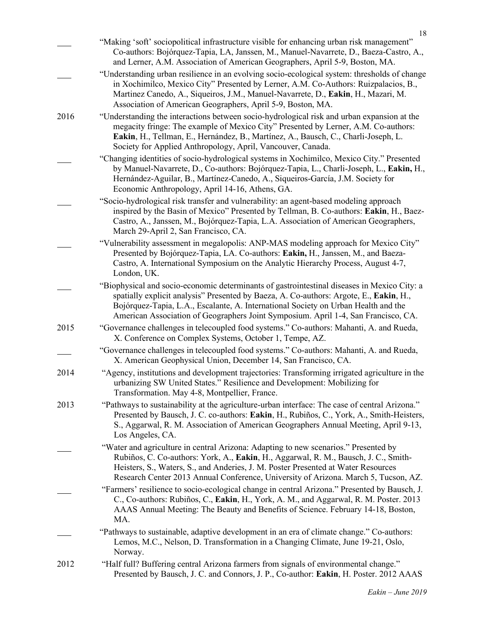|      | "Making 'soft' sociopolitical infrastructure visible for enhancing urban risk management"<br>Co-authors: Bojórquez-Tapia, LA, Janssen, M., Manuel-Navarrete, D., Baeza-Castro, A.,<br>and Lerner, A.M. Association of American Geographers, April 5-9, Boston, MA.                                                                                                |
|------|-------------------------------------------------------------------------------------------------------------------------------------------------------------------------------------------------------------------------------------------------------------------------------------------------------------------------------------------------------------------|
|      | "Understanding urban resilience in an evolving socio-ecological system: thresholds of change<br>in Xochimilco, Mexico City" Presented by Lerner, A.M. Co-Authors: Ruizpalacios, B.,<br>Martinez Canedo, A., Siqueiros, J.M., Manuel-Navarrete, D., Eakin, H., Mazari, M.<br>Association of American Geographers, April 5-9, Boston, MA.                           |
| 2016 | "Understanding the interactions between socio-hydrological risk and urban expansion at the<br>megacity fringe: The example of Mexico City" Presented by Lerner, A.M. Co-authors:<br>Eakin, H., Tellman, E., Hernández, B., Martínez, A., Bausch, C., Charli-Joseph, L.<br>Society for Applied Anthropology, April, Vancouver, Canada.                             |
|      | "Changing identities of socio-hydrological systems in Xochimilco, Mexico City." Presented<br>by Manuel-Navarrete, D., Co-authors: Bojórquez-Tapia, L., Charli-Joseph, L., Eakin, H.,<br>Hernández-Aguilar, B., Martínez-Canedo, A., Siqueiros-García, J.M. Society for<br>Economic Anthropology, April 14-16, Athens, GA.                                         |
|      | "Socio-hydrological risk transfer and vulnerability: an agent-based modeling approach<br>inspired by the Basin of Mexico" Presented by Tellman, B. Co-authors: Eakin, H., Baez-<br>Castro, A., Janssen, M., Bojórquez-Tapia, L.A. Association of American Geographers,<br>March 29-April 2, San Francisco, CA.                                                    |
|      | "Vulnerability assessment in megalopolis: ANP-MAS modeling approach for Mexico City"<br>Presented by Bojórquez-Tapia, LA. Co-authors: Eakin, H., Janssen, M., and Baeza-<br>Castro, A. International Symposium on the Analytic Hierarchy Process, August 4-7,<br>London, UK.                                                                                      |
|      | "Biophysical and socio-economic determinants of gastrointestinal diseases in Mexico City: a<br>spatially explicit analysis" Presented by Baeza, A. Co-authors: Argote, E., Eakin, H.,<br>Bojórquez-Tapia, L.A., Escalante, A. International Society on Urban Health and the<br>American Association of Geographers Joint Symposium. April 1-4, San Francisco, CA. |
| 2015 | "Governance challenges in telecoupled food systems." Co-authors: Mahanti, A. and Rueda,<br>X. Conference on Complex Systems, October 1, Tempe, AZ.                                                                                                                                                                                                                |
|      | "Governance challenges in telecoupled food systems." Co-authors: Mahanti, A. and Rueda,<br>X. American Geophysical Union, December 14, San Francisco, CA.                                                                                                                                                                                                         |
| 2014 | "Agency, institutions and development trajectories: Transforming irrigated agriculture in the<br>urbanizing SW United States." Resilience and Development: Mobilizing for<br>Transformation. May 4-8, Montpellier, France.                                                                                                                                        |
| 2013 | "Pathways to sustainability at the agriculture-urban interface: The case of central Arizona."<br>Presented by Bausch, J. C. co-authors: Eakin, H., Rubiños, C., York, A., Smith-Heisters,<br>S., Aggarwal, R. M. Association of American Geographers Annual Meeting, April 9-13,<br>Los Angeles, CA.                                                              |
|      | "Water and agriculture in central Arizona: Adapting to new scenarios." Presented by<br>Rubiños, C. Co-authors: York, A., Eakin, H., Aggarwal, R. M., Bausch, J. C., Smith-<br>Heisters, S., Waters, S., and Anderies, J. M. Poster Presented at Water Resources<br>Research Center 2013 Annual Conference, University of Arizona. March 5, Tucson, AZ.            |
|      | "Farmers' resilience to socio-ecological change in central Arizona." Presented by Bausch, J.<br>C., Co-authors: Rubiños, C., Eakin, H., York, A. M., and Aggarwal, R. M. Poster. 2013<br>AAAS Annual Meeting: The Beauty and Benefits of Science. February 14-18, Boston,<br>MA.                                                                                  |
|      | "Pathways to sustainable, adaptive development in an era of climate change." Co-authors:<br>Lemos, M.C., Nelson, D. Transformation in a Changing Climate, June 19-21, Oslo,<br>Norway.                                                                                                                                                                            |
| 2012 | "Half full? Buffering central Arizona farmers from signals of environmental change."<br>Presented by Bausch, J. C. and Connors, J. P., Co-author: Eakin, H. Poster. 2012 AAAS                                                                                                                                                                                     |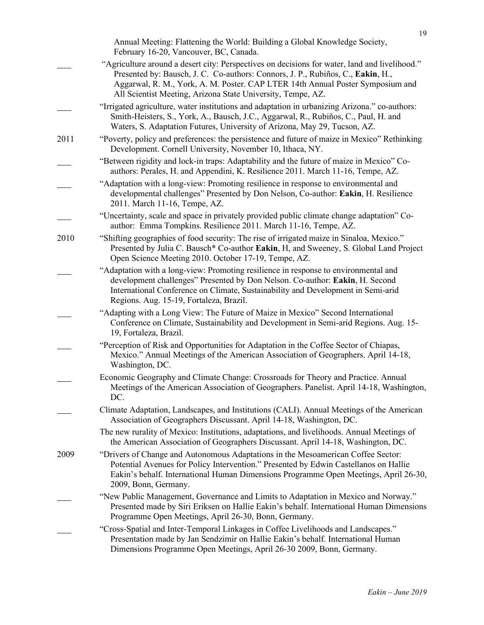|      | Annual Meeting: Flattening the World: Building a Global Knowledge Society,<br>February 16-20, Vancouver, BC, Canada.                                                                                                                                                                                                              |
|------|-----------------------------------------------------------------------------------------------------------------------------------------------------------------------------------------------------------------------------------------------------------------------------------------------------------------------------------|
|      | "Agriculture around a desert city: Perspectives on decisions for water, land and livelihood."<br>Presented by: Bausch, J. C. Co-authors: Connors, J. P., Rubiños, C., Eakin, H.,<br>Aggarwal, R. M., York, A. M. Poster. CAP LTER 14th Annual Poster Symposium and<br>All Scientist Meeting, Arizona State University, Tempe, AZ. |
|      | "Irrigated agriculture, water institutions and adaptation in urbanizing Arizona." co-authors:<br>Smith-Heisters, S., York, A., Bausch, J.C., Aggarwal, R., Rubiños, C., Paul, H. and<br>Waters, S. Adaptation Futures, University of Arizona, May 29, Tucson, AZ.                                                                 |
| 2011 | "Poverty, policy and preferences: the persistence and future of maize in Mexico" Rethinking<br>Development. Cornell University, November 10, Ithaca, NY.                                                                                                                                                                          |
|      | "Between rigidity and lock-in traps: Adaptability and the future of maize in Mexico" Co-<br>authors: Perales, H. and Appendini, K. Resilience 2011. March 11-16, Tempe, AZ.                                                                                                                                                       |
|      | "Adaptation with a long-view: Promoting resilience in response to environmental and<br>developmental challenges" Presented by Don Nelson, Co-author: Eakin, H. Resilience<br>2011. March 11-16, Tempe, AZ.                                                                                                                        |
|      | "Uncertainty, scale and space in privately provided public climate change adaptation" Co-<br>author: Emma Tompkins. Resilience 2011. March 11-16, Tempe, AZ.                                                                                                                                                                      |
| 2010 | "Shifting geographies of food security: The rise of irrigated maize in Sinaloa, Mexico."<br>Presented by Julia C. Bausch* Co-author Eakin, H, and Sweeney, S. Global Land Project<br>Open Science Meeting 2010. October 17-19, Tempe, AZ.                                                                                         |
|      | "Adaptation with a long-view: Promoting resilience in response to environmental and<br>development challenges" Presented by Don Nelson. Co-author: Eakin, H. Second<br>International Conference on Climate, Sustainability and Development in Semi-arid<br>Regions. Aug. 15-19, Fortaleza, Brazil.                                |
|      | "Adapting with a Long View: The Future of Maize in Mexico" Second International<br>Conference on Climate, Sustainability and Development in Semi-arid Regions. Aug. 15-<br>19, Fortaleza, Brazil.                                                                                                                                 |
|      | "Perception of Risk and Opportunities for Adaptation in the Coffee Sector of Chiapas,<br>Mexico." Annual Meetings of the American Association of Geographers. April 14-18,<br>Washington, DC.                                                                                                                                     |
|      | Economic Geography and Climate Change: Crossroads for Theory and Practice. Annual<br>Meetings of the American Association of Geographers. Panelist. April 14-18, Washington,<br>DC.                                                                                                                                               |
|      | Climate Adaptation, Landscapes, and Institutions (CALI). Annual Meetings of the American<br>Association of Geographers Discussant. April 14-18, Washington, DC.                                                                                                                                                                   |
|      | The new rurality of Mexico: Institutions, adaptations, and livelihoods. Annual Meetings of<br>the American Association of Geographers Discussant. April 14-18, Washington, DC.                                                                                                                                                    |
| 2009 | "Drivers of Change and Autonomous Adaptations in the Mesoamerican Coffee Sector:<br>Potential Avenues for Policy Intervention." Presented by Edwin Castellanos on Hallie<br>Eakin's behalf. International Human Dimensions Programme Open Meetings, April 26-30,<br>2009, Bonn, Germany.                                          |
|      | "New Public Management, Governance and Limits to Adaptation in Mexico and Norway."<br>Presented made by Siri Eriksen on Hallie Eakin's behalf. International Human Dimensions<br>Programme Open Meetings, April 26-30, Bonn, Germany.                                                                                             |
|      | "Cross-Spatial and Inter-Temporal Linkages in Coffee Livelihoods and Landscapes."<br>Presentation made by Jan Sendzimir on Hallie Eakin's behalf. International Human<br>Dimensions Programme Open Meetings, April 26-30 2009, Bonn, Germany.                                                                                     |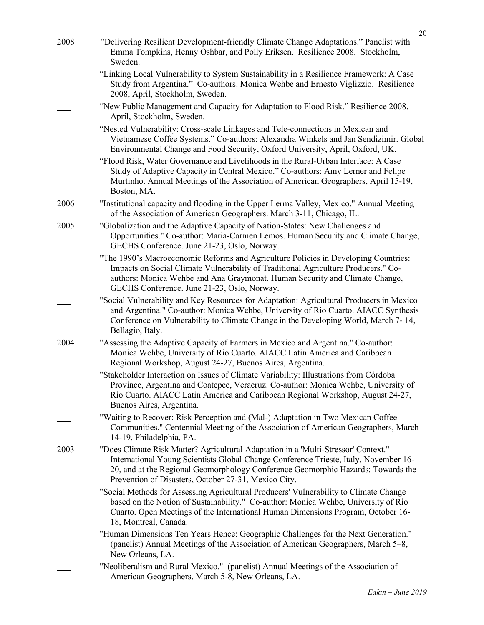| 2008 | "Delivering Resilient Development-friendly Climate Change Adaptations." Panelist with<br>Emma Tompkins, Henny Oshbar, and Polly Eriksen. Resilience 2008. Stockholm,<br>Sweden.                                                                                                                                        |
|------|------------------------------------------------------------------------------------------------------------------------------------------------------------------------------------------------------------------------------------------------------------------------------------------------------------------------|
|      | "Linking Local Vulnerability to System Sustainability in a Resilience Framework: A Case<br>Study from Argentina." Co-authors: Monica Wehbe and Ernesto Viglizzio. Resilience<br>2008, April, Stockholm, Sweden.                                                                                                        |
|      | "New Public Management and Capacity for Adaptation to Flood Risk." Resilience 2008.<br>April, Stockholm, Sweden.                                                                                                                                                                                                       |
|      | "Nested Vulnerability: Cross-scale Linkages and Tele-connections in Mexican and<br>Vietnamese Coffee Systems." Co-authors: Alexandra Winkels and Jan Sendizimir. Global<br>Environmental Change and Food Security, Oxford University, April, Oxford, UK.                                                               |
|      | "Flood Risk, Water Governance and Livelihoods in the Rural-Urban Interface: A Case<br>Study of Adaptive Capacity in Central Mexico." Co-authors: Amy Lerner and Felipe<br>Murtinho. Annual Meetings of the Association of American Geographers, April 15-19,<br>Boston, MA.                                            |
| 2006 | "Institutional capacity and flooding in the Upper Lerma Valley, Mexico." Annual Meeting<br>of the Association of American Geographers. March 3-11, Chicago, IL.                                                                                                                                                        |
| 2005 | "Globalization and the Adaptive Capacity of Nation-States: New Challenges and<br>Opportunities." Co-author: Maria-Carmen Lemos. Human Security and Climate Change,<br>GECHS Conference. June 21-23, Oslo, Norway.                                                                                                      |
|      | "The 1990's Macroeconomic Reforms and Agriculture Policies in Developing Countries:<br>Impacts on Social Climate Vulnerability of Traditional Agriculture Producers." Co-<br>authors: Monica Wehbe and Ana Graymonat. Human Security and Climate Change,<br>GECHS Conference. June 21-23, Oslo, Norway.                |
|      | "Social Vulnerability and Key Resources for Adaptation: Agricultural Producers in Mexico<br>and Argentina." Co-author: Monica Wehbe, University of Rio Cuarto. AIACC Synthesis<br>Conference on Vulnerability to Climate Change in the Developing World, March 7-14,<br>Bellagio, Italy.                               |
| 2004 | "Assessing the Adaptive Capacity of Farmers in Mexico and Argentina." Co-author:<br>Monica Wehbe, University of Rio Cuarto. AIACC Latin America and Caribbean<br>Regional Workshop, August 24-27, Buenos Aires, Argentina.                                                                                             |
|      | "Stakeholder Interaction on Issues of Climate Variability: Illustrations from Córdoba<br>Province, Argentina and Coatepec, Veracruz. Co-author: Monica Wehbe, University of<br>Rio Cuarto. AIACC Latin America and Caribbean Regional Workshop, August 24-27,<br>Buenos Aires, Argentina.                              |
|      | "Waiting to Recover: Risk Perception and (Mal-) Adaptation in Two Mexican Coffee<br>Communities." Centennial Meeting of the Association of American Geographers, March<br>14-19, Philadelphia, PA.                                                                                                                     |
| 2003 | "Does Climate Risk Matter? Agricultural Adaptation in a 'Multi-Stressor' Context."<br>International Young Scientists Global Change Conference Trieste, Italy, November 16-<br>20, and at the Regional Geomorphology Conference Geomorphic Hazards: Towards the<br>Prevention of Disasters, October 27-31, Mexico City. |
|      | "Social Methods for Assessing Agricultural Producers' Vulnerability to Climate Change<br>based on the Notion of Sustainability." Co-author: Monica Wehbe, University of Rio<br>Cuarto. Open Meetings of the International Human Dimensions Program, October 16-<br>18, Montreal, Canada.                               |
|      | "Human Dimensions Ten Years Hence: Geographic Challenges for the Next Generation."<br>(panelist) Annual Meetings of the Association of American Geographers, March 5–8,<br>New Orleans, LA.                                                                                                                            |
|      | "Neoliberalism and Rural Mexico." (panelist) Annual Meetings of the Association of<br>American Geographers, March 5-8, New Orleans, LA.                                                                                                                                                                                |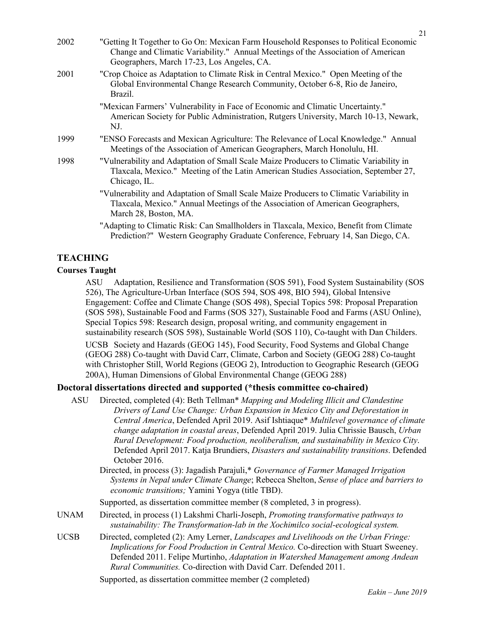| 2002 | "Getting It Together to Go On: Mexican Farm Household Responses to Political Economic<br>Change and Climatic Variability." Annual Meetings of the Association of American<br>Geographers, March 17-23, Los Angeles, CA. |
|------|-------------------------------------------------------------------------------------------------------------------------------------------------------------------------------------------------------------------------|
| 2001 | "Crop Choice as Adaptation to Climate Risk in Central Mexico." Open Meeting of the<br>Global Environmental Change Research Community, October 6-8, Rio de Janeiro,<br>Brazil.                                           |
|      | "Mexican Farmers' Vulnerability in Face of Economic and Climatic Uncertainty."<br>American Society for Public Administration, Rutgers University, March 10-13, Newark,<br>NJ.                                           |
| 1999 | "ENSO Forecasts and Mexican Agriculture: The Relevance of Local Knowledge." Annual<br>Meetings of the Association of American Geographers, March Honolulu, HI.                                                          |
| 1998 | "Vulnerability and Adaptation of Small Scale Maize Producers to Climatic Variability in<br>Tlaxcala, Mexico." Meeting of the Latin American Studies Association, September 27,<br>Chicago, IL.                          |
|      | "Vulnerability and Adaptation of Small Scale Maize Producers to Climatic Variability in<br>Tlaxcala, Mexico." Annual Meetings of the Association of American Geographers,<br>March 28, Boston, MA.                      |
|      | "Adapting to Climatic Risk: Can Smallholders in Tlaxcala, Mexico, Benefit from Climate<br>Prediction?" Western Geography Graduate Conference, February 14, San Diego, CA.                                               |

# **TEACHING**

#### **Courses Taught**

ASU Adaptation, Resilience and Transformation (SOS 591), Food System Sustainability (SOS 526), The Agriculture-Urban Interface (SOS 594, SOS 498, BIO 594), Global Intensive Engagement: Coffee and Climate Change (SOS 498), Special Topics 598: Proposal Preparation (SOS 598), Sustainable Food and Farms (SOS 327), Sustainable Food and Farms (ASU Online), Special Topics 598: Research design, proposal writing, and community engagement in sustainability research (SOS 598), Sustainable World (SOS 110), Co-taught with Dan Childers.

UCSB Society and Hazards (GEOG 145), Food Security, Food Systems and Global Change (GEOG 288) Co-taught with David Carr, Climate, Carbon and Society (GEOG 288) Co-taught with Christopher Still, World Regions (GEOG 2), Introduction to Geographic Research (GEOG 200A), Human Dimensions of Global Environmental Change (GEOG 288)

# **Doctoral dissertations directed and supported (\*thesis committee co-chaired)**

- ASU Directed, completed (4): Beth Tellman\* *Mapping and Modeling Illicit and Clandestine Drivers of Land Use Change: Urban Expansion in Mexico City and Deforestation in Central America*, Defended April 2019. Asif Ishtiaque\* *Multilevel governance of climate change adaptation in coastal areas*, Defended April 2019. Julia Chrissie Bausch, *Urban Rural Development: Food production, neoliberalism, and sustainability in Mexico City*. Defended April 2017. Katja Brundiers, *Disasters and sustainability transitions*. Defended October 2016.
	- Directed, in process (3): Jagadish Parajuli,\* *Governance of Farmer Managed Irrigation Systems in Nepal under Climate Change*; Rebecca Shelton, *Sense of place and barriers to economic transitions;* Yamini Yogya (title TBD).

Supported, as dissertation committee member (8 completed, 3 in progress).

- UNAM Directed, in process (1) Lakshmi Charli-Joseph, *Promoting transformative pathways to sustainability: The Transformation-lab in the Xochimilco social-ecological system.*
- UCSB Directed, completed (2): Amy Lerner, *Landscapes and Livelihoods on the Urban Fringe: Implications for Food Production in Central Mexico.* Co-direction with Stuart Sweeney. Defended 2011. Felipe Murtinho, *Adaptation in Watershed Management among Andean Rural Communities.* Co-direction with David Carr. Defended 2011.

Supported, as dissertation committee member (2 completed)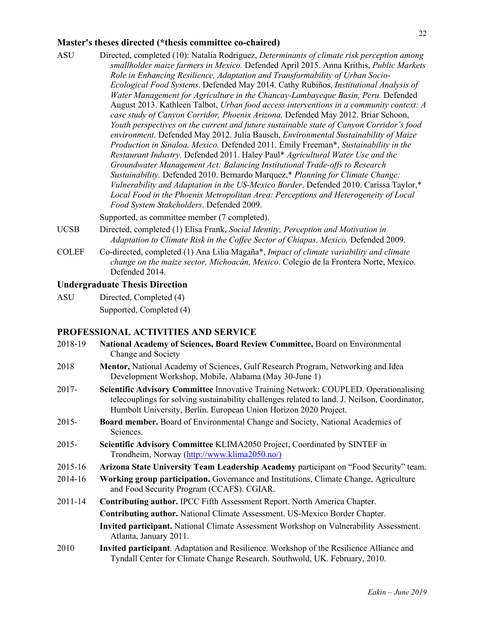#### **Master's theses directed (\*thesis committee co-chaired)**

ASU Directed, completed (10): Natalia Rodriguez, *Determinants of climate risk perception among smallholder maize farmers in Mexico.* Defended April 2015. Anna Krithis, *Public Markets Role in Enhancing Resilience, Adaptation and Transformability of Urban Socio-Ecological Food Systems*. Defended May 2014. Cathy Rubiños, *Institutional Analysis of Water Management for Agriculture in the Chancay-Lambayeque Basin, Peru.* Defended August 2013. Kathleen Talbot, *Urban food access interventions in a community context: A case study of Canyon Corridor, Phoenix Arizona.* Defended May 2012. Briar Schoon, *Youth perspectives on the current and future sustainable state of Canyon Corridor's food environment.* Defended May 2012. Julia Bausch, *Environmental Sustainability of Maize Production in Sinaloa, Mexico.* Defended 2011. Emily Freeman\*, *Sustainability in the Restaurant Industry.* Defended 2011. Haley Paul\* *Agricultural Water Use and the Groundwater Management Act: Balancing Institutional Trade-offs to Research Sustainability.* Defended 2010. Bernardo Marquez,\* *Planning for Climate Change: Vulnerability and Adaptation in the US-Mexico Border*. Defended 2010. Carissa Taylor,\* *Local Food in the Phoenix Metropolitan Area: Perceptions and Heterogeneity of Local Food System Stakeholders*. Defended 2009.

Supported, as committee member (7 completed).

- UCSB Directed, completed (1) Elisa Frank, *Social Identity, Perception and Motivation in Adaptation to Climate Risk in the Coffee Sector of Chiapas, Mexico.* Defended 2009.
- COLEF Co-directed, completed (1) Ana Lilia Magaña\*, *Impact of climate variability and climate change on the maize sector, Michoacán, Mexico.* Colegio de la Frontera Norte, Mexico. Defended 2014.

### **Undergraduate Thesis Direction**

ASU Directed, Completed (4) Supported, Completed (4)

#### **PROFESSIONAL ACTIVITIES AND SERVICE**

| National Academy of Sciences, Board Review Committee, Board on Environmental<br>Change and Society                                                                                                                                                        |
|-----------------------------------------------------------------------------------------------------------------------------------------------------------------------------------------------------------------------------------------------------------|
| <b>Mentor, National Academy of Sciences, Gulf Research Program, Networking and Idea</b><br>Development Workshop, Mobile, Alabama (May 30-June 1)                                                                                                          |
| Scientific Advisory Committee Innovative Training Network: COUPLED. Operationalising<br>telecouplings for solving sustainability challenges related to land. J. Neilson, Coordinator,<br>Humbolt University, Berlin. European Union Horizon 2020 Project. |
| <b>Board member.</b> Board of Environmental Change and Society, National Academies of<br>Sciences.                                                                                                                                                        |
| Scientific Advisory Committee KLIMA2050 Project, Coordinated by SINTEF in<br>Trondheim, Norway (http://www.klima2050.no/)                                                                                                                                 |
| Arizona State University Team Leadership Academy participant on "Food Security" team.                                                                                                                                                                     |
| Working group participation. Governance and Institutions, Climate Change, Agriculture<br>and Food Security Program (CCAFS). CGIAR.                                                                                                                        |
| Contributing author. IPCC Fifth Assessment Report. North America Chapter.                                                                                                                                                                                 |
| <b>Contributing author.</b> National Climate Assessment. US-Mexico Border Chapter.                                                                                                                                                                        |
| <b>Invited participant.</b> National Climate Assessment Workshop on Vulnerability Assessment.<br>Atlanta, January 2011.                                                                                                                                   |
| Invited participant. Adaptation and Resilience. Workshop of the Resilience Alliance and<br>Tyndall Center for Climate Change Research. Southwold, UK. February, 2010.                                                                                     |
|                                                                                                                                                                                                                                                           |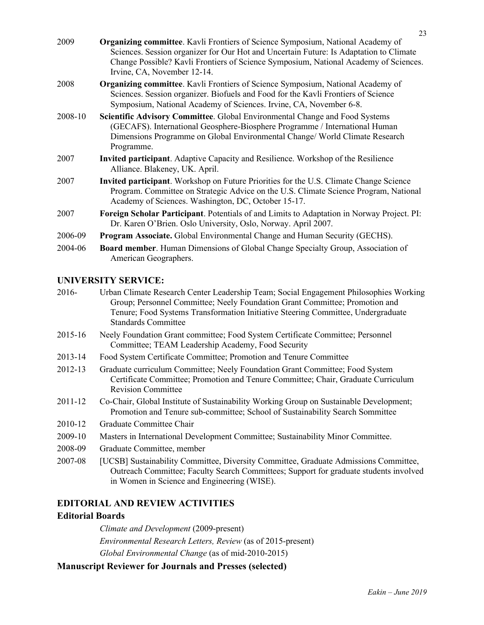| 2009    | <b>Organizing committee.</b> Kavli Frontiers of Science Symposium, National Academy of<br>Sciences. Session organizer for Our Hot and Uncertain Future: Is Adaptation to Climate<br>Change Possible? Kavli Frontiers of Science Symposium, National Academy of Sciences.<br>Irvine, CA, November 12-14. |
|---------|---------------------------------------------------------------------------------------------------------------------------------------------------------------------------------------------------------------------------------------------------------------------------------------------------------|
| 2008    | <b>Organizing committee.</b> Kavli Frontiers of Science Symposium, National Academy of<br>Sciences. Session organizer. Biofuels and Food for the Kavli Frontiers of Science<br>Symposium, National Academy of Sciences. Irvine, CA, November 6-8.                                                       |
| 2008-10 | <b>Scientific Advisory Committee.</b> Global Environmental Change and Food Systems<br>(GECAFS). International Geosphere-Biosphere Programme / International Human<br>Dimensions Programme on Global Environmental Change/ World Climate Research<br>Programme.                                          |
| 2007    | <b>Invited participant.</b> Adaptive Capacity and Resilience. Workshop of the Resilience<br>Alliance. Blakeney, UK. April.                                                                                                                                                                              |
| 2007    | <b>Invited participant.</b> Workshop on Future Priorities for the U.S. Climate Change Science<br>Program. Committee on Strategic Advice on the U.S. Climate Science Program, National<br>Academy of Sciences. Washington, DC, October 15-17.                                                            |
| 2007    | <b>Foreign Scholar Participant</b> . Potentials of and Limits to Adaptation in Norway Project. PI:<br>Dr. Karen O'Brien. Oslo University, Oslo, Norway. April 2007.                                                                                                                                     |
| 2006-09 | Program Associate. Global Environmental Change and Human Security (GECHS).                                                                                                                                                                                                                              |
| 2004-06 | <b>Board member.</b> Human Dimensions of Global Change Specialty Group, Association of<br>American Geographers.                                                                                                                                                                                         |

### **UNIVERSITY SERVICE:**

| $2016-$ | Urban Climate Research Center Leadership Team; Social Engagement Philosophies Working |
|---------|---------------------------------------------------------------------------------------|
|         | Group; Personnel Committee; Neely Foundation Grant Committee; Promotion and           |
|         | Tenure; Food Systems Transformation Initiative Steering Committee, Undergraduate      |
|         | <b>Standards Committee</b>                                                            |

- 2015-16 Neely Foundation Grant committee; Food System Certificate Committee; Personnel Committee; TEAM Leadership Academy, Food Security
- 2013-14 Food System Certificate Committee; Promotion and Tenure Committee
- 2012-13 Graduate curriculum Committee; Neely Foundation Grant Committee; Food System Certificate Committee; Promotion and Tenure Committee; Chair, Graduate Curriculum Revision Committee
- 2011-12 Co-Chair, Global Institute of Sustainability Working Group on Sustainable Development; Promotion and Tenure sub-committee; School of Sustainability Search Sommittee
- 2010-12 Graduate Committee Chair
- 2009-10 Masters in International Development Committee; Sustainability Minor Committee.
- 2008-09 Graduate Committee, member

# **EDITORIAL AND REVIEW ACTIVITIES**

#### **Editorial Boards**

*Climate and Development* (2009-present) *Environmental Research Letters, Review* (as of 2015-present) *Global Environmental Change* (as of mid-2010-2015)

#### **Manuscript Reviewer for Journals and Presses (selected)**

<sup>2007-08</sup> [UCSB] Sustainability Committee, Diversity Committee, Graduate Admissions Committee, Outreach Committee; Faculty Search Committees; Support for graduate students involved in Women in Science and Engineering (WISE).